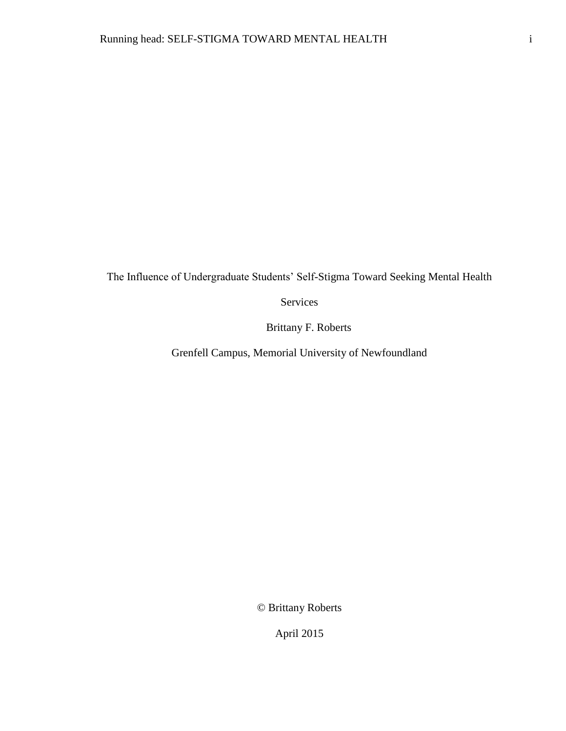The Influence of Undergraduate Students' Self-Stigma Toward Seeking Mental Health

Services

Brittany F. Roberts

Grenfell Campus, Memorial University of Newfoundland

© Brittany Roberts

April 2015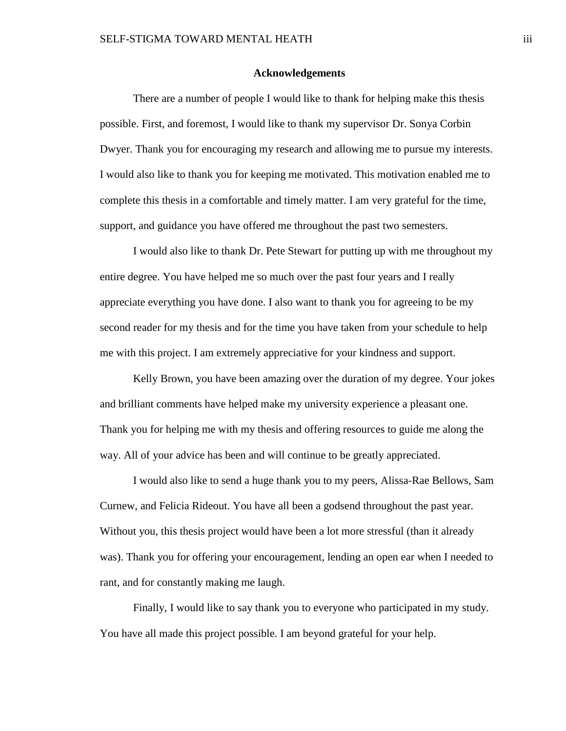#### **Acknowledgements**

There are a number of people I would like to thank for helping make this thesis possible. First, and foremost, I would like to thank my supervisor Dr. Sonya Corbin Dwyer. Thank you for encouraging my research and allowing me to pursue my interests. I would also like to thank you for keeping me motivated. This motivation enabled me to complete this thesis in a comfortable and timely matter. I am very grateful for the time, support, and guidance you have offered me throughout the past two semesters.

I would also like to thank Dr. Pete Stewart for putting up with me throughout my entire degree. You have helped me so much over the past four years and I really appreciate everything you have done. I also want to thank you for agreeing to be my second reader for my thesis and for the time you have taken from your schedule to help me with this project. I am extremely appreciative for your kindness and support.

Kelly Brown, you have been amazing over the duration of my degree. Your jokes and brilliant comments have helped make my university experience a pleasant one. Thank you for helping me with my thesis and offering resources to guide me along the way. All of your advice has been and will continue to be greatly appreciated.

I would also like to send a huge thank you to my peers, Alissa-Rae Bellows, Sam Curnew, and Felicia Rideout. You have all been a godsend throughout the past year. Without you, this thesis project would have been a lot more stressful (than it already was). Thank you for offering your encouragement, lending an open ear when I needed to rant, and for constantly making me laugh.

Finally, I would like to say thank you to everyone who participated in my study. You have all made this project possible. I am beyond grateful for your help.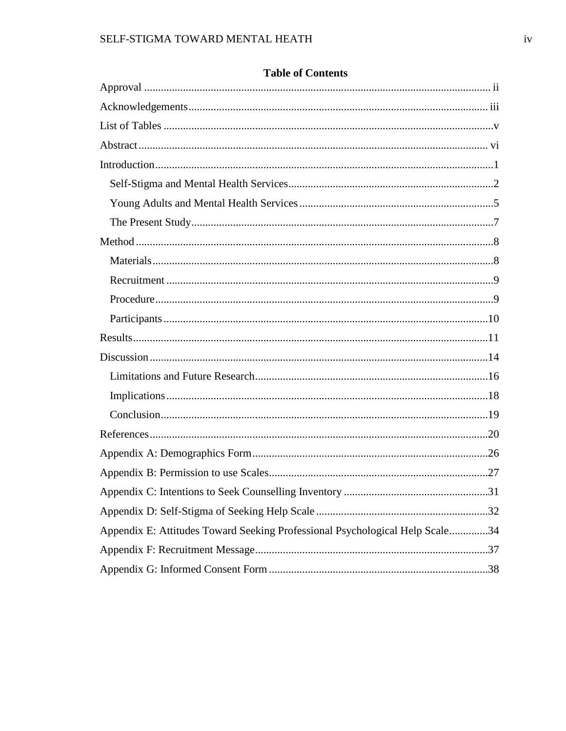| Appendix E: Attitudes Toward Seeking Professional Psychological Help Scale34 |  |
|------------------------------------------------------------------------------|--|
|                                                                              |  |
|                                                                              |  |

## **Table of Contents**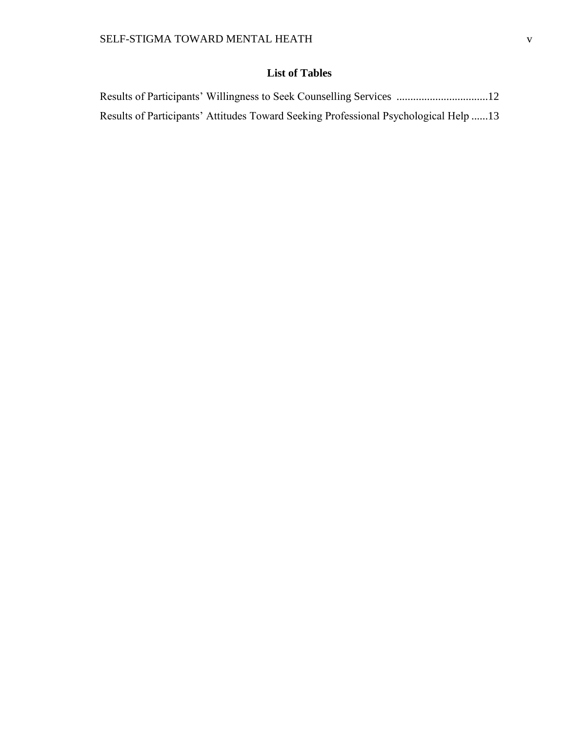# **List of Tables**

| Results of Participants' Attitudes Toward Seeking Professional Psychological Help13 |  |
|-------------------------------------------------------------------------------------|--|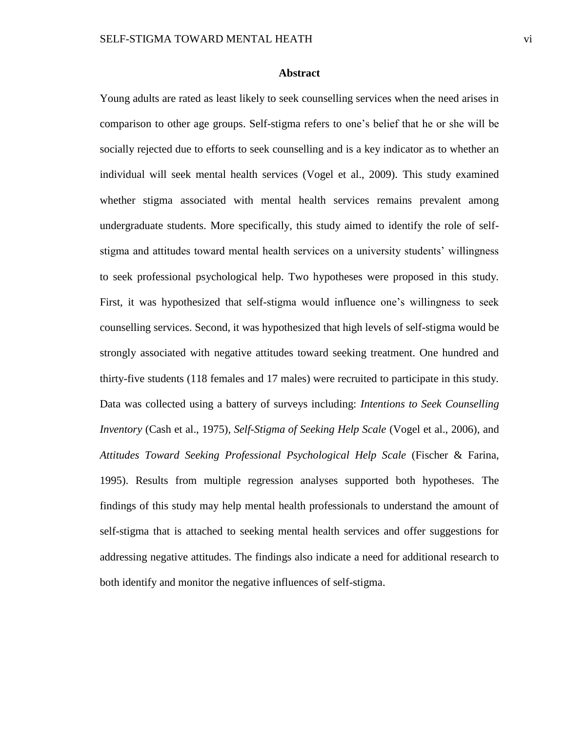#### **Abstract**

Young adults are rated as least likely to seek counselling services when the need arises in comparison to other age groups. Self-stigma refers to one's belief that he or she will be socially rejected due to efforts to seek counselling and is a key indicator as to whether an individual will seek mental health services (Vogel et al., 2009). This study examined whether stigma associated with mental health services remains prevalent among undergraduate students. More specifically, this study aimed to identify the role of selfstigma and attitudes toward mental health services on a university students' willingness to seek professional psychological help. Two hypotheses were proposed in this study. First, it was hypothesized that self-stigma would influence one's willingness to seek counselling services. Second, it was hypothesized that high levels of self-stigma would be strongly associated with negative attitudes toward seeking treatment. One hundred and thirty-five students (118 females and 17 males) were recruited to participate in this study. Data was collected using a battery of surveys including: *Intentions to Seek Counselling Inventory* (Cash et al., 1975)*, Self-Stigma of Seeking Help Scale* (Vogel et al., 2006)*,* and *Attitudes Toward Seeking Professional Psychological Help Scale* (Fischer & Farina, 1995). Results from multiple regression analyses supported both hypotheses. The findings of this study may help mental health professionals to understand the amount of self-stigma that is attached to seeking mental health services and offer suggestions for addressing negative attitudes. The findings also indicate a need for additional research to both identify and monitor the negative influences of self-stigma.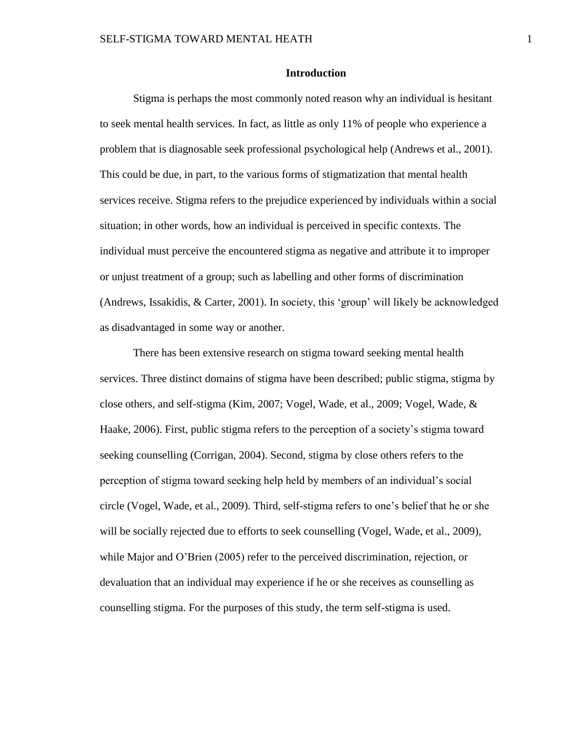#### **Introduction**

Stigma is perhaps the most commonly noted reason why an individual is hesitant to seek mental health services. In fact, as little as only 11% of people who experience a problem that is diagnosable seek professional psychological help (Andrews et al., 2001). This could be due, in part, to the various forms of stigmatization that mental health services receive. Stigma refers to the prejudice experienced by individuals within a social situation; in other words, how an individual is perceived in specific contexts. The individual must perceive the encountered stigma as negative and attribute it to improper or unjust treatment of a group; such as labelling and other forms of discrimination (Andrews, Issakidis, & Carter, 2001). In society, this 'group' will likely be acknowledged as disadvantaged in some way or another.

There has been extensive research on stigma toward seeking mental health services. Three distinct domains of stigma have been described; public stigma, stigma by close others, and self-stigma (Kim, 2007; Vogel, Wade, et al., 2009; Vogel, Wade, & Haake, 2006). First, public stigma refers to the perception of a society's stigma toward seeking counselling (Corrigan, 2004). Second, stigma by close others refers to the perception of stigma toward seeking help held by members of an individual's social circle (Vogel, Wade, et al., 2009). Third, self-stigma refers to one's belief that he or she will be socially rejected due to efforts to seek counselling (Vogel, Wade, et al., 2009), while Major and O'Brien (2005) refer to the perceived discrimination, rejection, or devaluation that an individual may experience if he or she receives as counselling as counselling stigma. For the purposes of this study, the term self-stigma is used.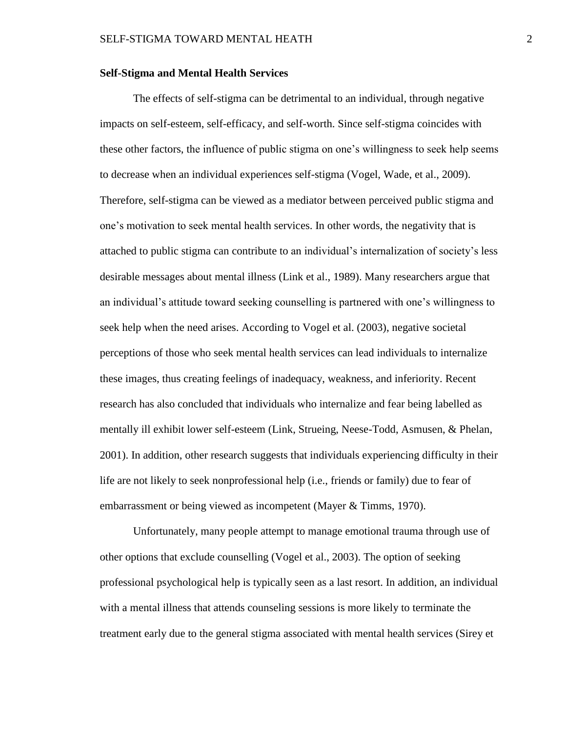#### **Self-Stigma and Mental Health Services**

The effects of self-stigma can be detrimental to an individual, through negative impacts on self-esteem, self-efficacy, and self-worth. Since self-stigma coincides with these other factors, the influence of public stigma on one's willingness to seek help seems to decrease when an individual experiences self-stigma (Vogel, Wade, et al., 2009). Therefore, self-stigma can be viewed as a mediator between perceived public stigma and one's motivation to seek mental health services. In other words, the negativity that is attached to public stigma can contribute to an individual's internalization of society's less desirable messages about mental illness (Link et al., 1989). Many researchers argue that an individual's attitude toward seeking counselling is partnered with one's willingness to seek help when the need arises. According to Vogel et al. (2003), negative societal perceptions of those who seek mental health services can lead individuals to internalize these images, thus creating feelings of inadequacy, weakness, and inferiority. Recent research has also concluded that individuals who internalize and fear being labelled as mentally ill exhibit lower self-esteem (Link, Strueing, Neese-Todd, Asmusen, & Phelan, 2001). In addition, other research suggests that individuals experiencing difficulty in their life are not likely to seek nonprofessional help (i.e., friends or family) due to fear of embarrassment or being viewed as incompetent (Mayer & Timms, 1970).

Unfortunately, many people attempt to manage emotional trauma through use of other options that exclude counselling (Vogel et al., 2003). The option of seeking professional psychological help is typically seen as a last resort. In addition, an individual with a mental illness that attends counseling sessions is more likely to terminate the treatment early due to the general stigma associated with mental health services (Sirey et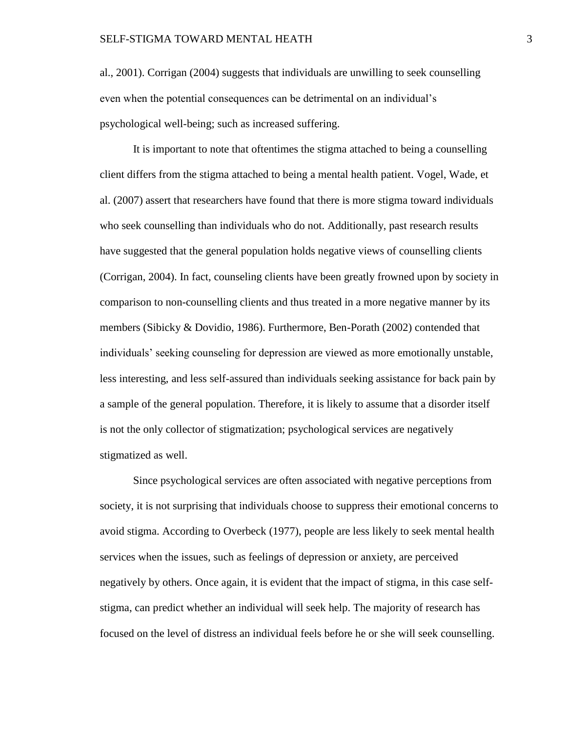al., 2001). Corrigan (2004) suggests that individuals are unwilling to seek counselling even when the potential consequences can be detrimental on an individual's psychological well-being; such as increased suffering.

It is important to note that oftentimes the stigma attached to being a counselling client differs from the stigma attached to being a mental health patient. Vogel, Wade, et al. (2007) assert that researchers have found that there is more stigma toward individuals who seek counselling than individuals who do not. Additionally, past research results have suggested that the general population holds negative views of counselling clients (Corrigan, 2004). In fact, counseling clients have been greatly frowned upon by society in comparison to non-counselling clients and thus treated in a more negative manner by its members (Sibicky & Dovidio, 1986). Furthermore, Ben-Porath (2002) contended that individuals' seeking counseling for depression are viewed as more emotionally unstable, less interesting, and less self-assured than individuals seeking assistance for back pain by a sample of the general population. Therefore, it is likely to assume that a disorder itself is not the only collector of stigmatization; psychological services are negatively stigmatized as well.

Since psychological services are often associated with negative perceptions from society, it is not surprising that individuals choose to suppress their emotional concerns to avoid stigma. According to Overbeck (1977), people are less likely to seek mental health services when the issues, such as feelings of depression or anxiety, are perceived negatively by others. Once again, it is evident that the impact of stigma, in this case selfstigma, can predict whether an individual will seek help. The majority of research has focused on the level of distress an individual feels before he or she will seek counselling.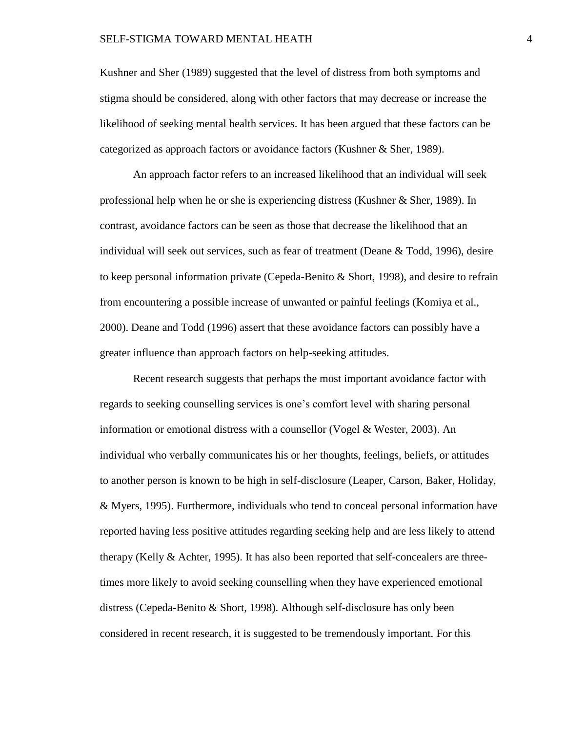Kushner and Sher (1989) suggested that the level of distress from both symptoms and stigma should be considered, along with other factors that may decrease or increase the likelihood of seeking mental health services. It has been argued that these factors can be categorized as approach factors or avoidance factors (Kushner & Sher, 1989).

An approach factor refers to an increased likelihood that an individual will seek professional help when he or she is experiencing distress (Kushner & Sher, 1989). In contrast, avoidance factors can be seen as those that decrease the likelihood that an individual will seek out services, such as fear of treatment (Deane & Todd, 1996), desire to keep personal information private (Cepeda-Benito & Short, 1998), and desire to refrain from encountering a possible increase of unwanted or painful feelings (Komiya et al., 2000). Deane and Todd (1996) assert that these avoidance factors can possibly have a greater influence than approach factors on help-seeking attitudes.

Recent research suggests that perhaps the most important avoidance factor with regards to seeking counselling services is one's comfort level with sharing personal information or emotional distress with a counsellor (Vogel  $&$  Wester, 2003). An individual who verbally communicates his or her thoughts, feelings, beliefs, or attitudes to another person is known to be high in self-disclosure (Leaper, Carson, Baker, Holiday, & Myers, 1995). Furthermore, individuals who tend to conceal personal information have reported having less positive attitudes regarding seeking help and are less likely to attend therapy (Kelly & Achter, 1995). It has also been reported that self-concealers are threetimes more likely to avoid seeking counselling when they have experienced emotional distress (Cepeda-Benito & Short, 1998). Although self-disclosure has only been considered in recent research, it is suggested to be tremendously important. For this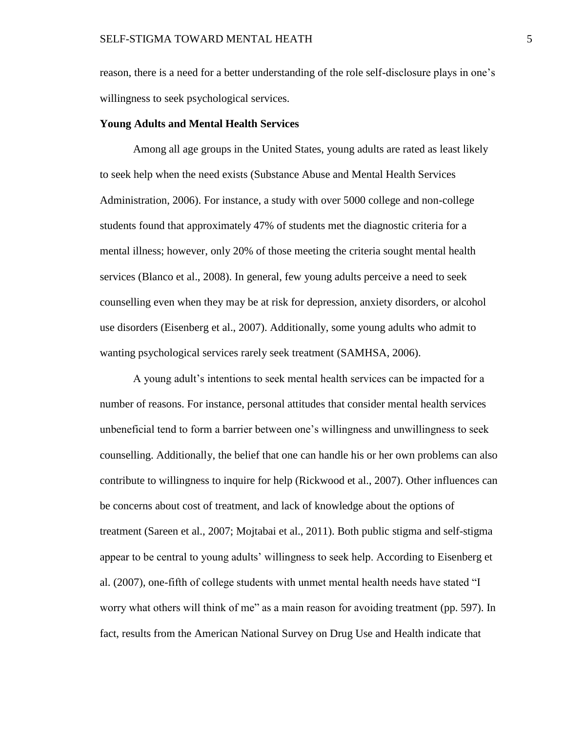reason, there is a need for a better understanding of the role self-disclosure plays in one's willingness to seek psychological services.

#### **Young Adults and Mental Health Services**

Among all age groups in the United States, young adults are rated as least likely to seek help when the need exists (Substance Abuse and Mental Health Services Administration, 2006). For instance, a study with over 5000 college and non-college students found that approximately 47% of students met the diagnostic criteria for a mental illness; however, only 20% of those meeting the criteria sought mental health services (Blanco et al., 2008). In general, few young adults perceive a need to seek counselling even when they may be at risk for depression, anxiety disorders, or alcohol use disorders (Eisenberg et al., 2007). Additionally, some young adults who admit to wanting psychological services rarely seek treatment (SAMHSA, 2006).

A young adult's intentions to seek mental health services can be impacted for a number of reasons. For instance, personal attitudes that consider mental health services unbeneficial tend to form a barrier between one's willingness and unwillingness to seek counselling. Additionally, the belief that one can handle his or her own problems can also contribute to willingness to inquire for help (Rickwood et al., 2007). Other influences can be concerns about cost of treatment, and lack of knowledge about the options of treatment (Sareen et al., 2007; Mojtabai et al., 2011). Both public stigma and self-stigma appear to be central to young adults' willingness to seek help. According to Eisenberg et al. (2007), one-fifth of college students with unmet mental health needs have stated "I worry what others will think of me" as a main reason for avoiding treatment (pp. 597). In fact, results from the American National Survey on Drug Use and Health indicate that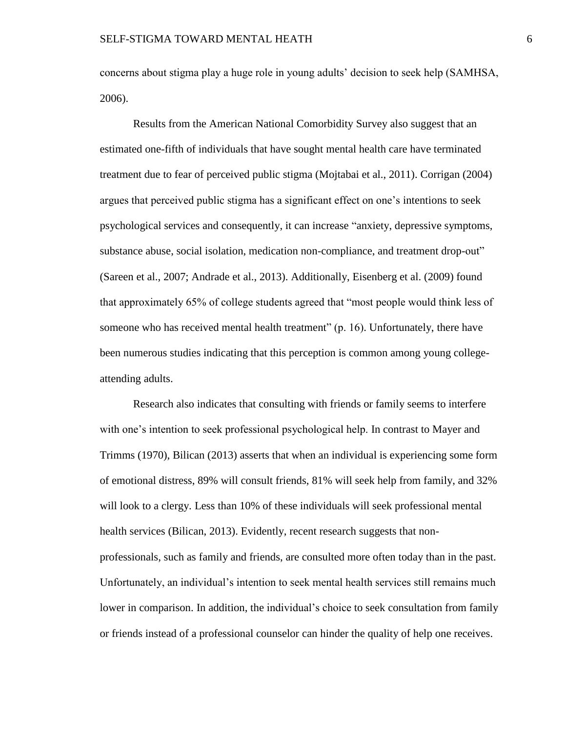concerns about stigma play a huge role in young adults' decision to seek help (SAMHSA, 2006).

Results from the American National Comorbidity Survey also suggest that an estimated one-fifth of individuals that have sought mental health care have terminated treatment due to fear of perceived public stigma (Mojtabai et al., 2011). Corrigan (2004) argues that perceived public stigma has a significant effect on one's intentions to seek psychological services and consequently, it can increase "anxiety, depressive symptoms, substance abuse, social isolation, medication non-compliance, and treatment drop-out" (Sareen et al., 2007; Andrade et al., 2013). Additionally, Eisenberg et al. (2009) found that approximately 65% of college students agreed that "most people would think less of someone who has received mental health treatment" (p. 16). Unfortunately, there have been numerous studies indicating that this perception is common among young collegeattending adults.

Research also indicates that consulting with friends or family seems to interfere with one's intention to seek professional psychological help. In contrast to Mayer and Trimms (1970), Bilican (2013) asserts that when an individual is experiencing some form of emotional distress, 89% will consult friends, 81% will seek help from family, and 32% will look to a clergy. Less than 10% of these individuals will seek professional mental health services (Bilican, 2013). Evidently, recent research suggests that nonprofessionals, such as family and friends, are consulted more often today than in the past. Unfortunately, an individual's intention to seek mental health services still remains much lower in comparison. In addition, the individual's choice to seek consultation from family or friends instead of a professional counselor can hinder the quality of help one receives.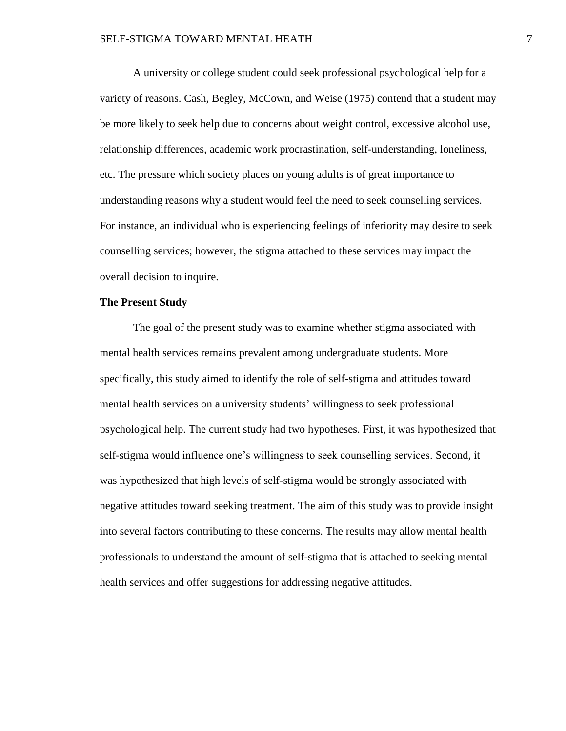A university or college student could seek professional psychological help for a variety of reasons. Cash, Begley, McCown, and Weise (1975) contend that a student may be more likely to seek help due to concerns about weight control, excessive alcohol use, relationship differences, academic work procrastination, self-understanding, loneliness, etc. The pressure which society places on young adults is of great importance to understanding reasons why a student would feel the need to seek counselling services. For instance, an individual who is experiencing feelings of inferiority may desire to seek counselling services; however, the stigma attached to these services may impact the overall decision to inquire.

#### **The Present Study**

The goal of the present study was to examine whether stigma associated with mental health services remains prevalent among undergraduate students. More specifically, this study aimed to identify the role of self-stigma and attitudes toward mental health services on a university students' willingness to seek professional psychological help. The current study had two hypotheses. First, it was hypothesized that self-stigma would influence one's willingness to seek counselling services. Second, it was hypothesized that high levels of self-stigma would be strongly associated with negative attitudes toward seeking treatment. The aim of this study was to provide insight into several factors contributing to these concerns. The results may allow mental health professionals to understand the amount of self-stigma that is attached to seeking mental health services and offer suggestions for addressing negative attitudes.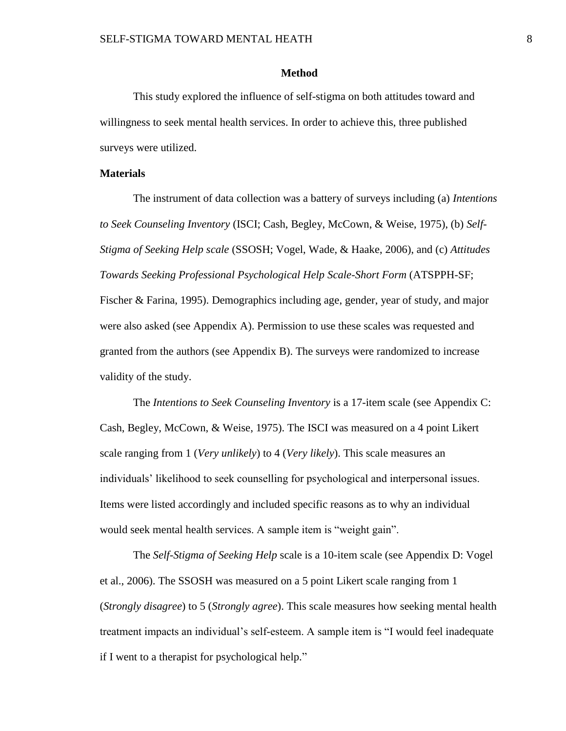#### **Method**

This study explored the influence of self-stigma on both attitudes toward and willingness to seek mental health services. In order to achieve this, three published surveys were utilized.

#### **Materials**

The instrument of data collection was a battery of surveys including (a) *Intentions to Seek Counseling Inventory* (ISCI; Cash, Begley, McCown, & Weise, 1975), (b) *Self-Stigma of Seeking Help scale* (SSOSH; Vogel, Wade, & Haake, 2006), and (c) *Attitudes Towards Seeking Professional Psychological Help Scale-Short Form* (ATSPPH-SF; Fischer & Farina, 1995). Demographics including age, gender, year of study, and major were also asked (see Appendix A). Permission to use these scales was requested and granted from the authors (see Appendix B). The surveys were randomized to increase validity of the study.

The *Intentions to Seek Counseling Inventory* is a 17-item scale (see Appendix C: Cash, Begley, McCown, & Weise, 1975). The ISCI was measured on a 4 point Likert scale ranging from 1 (*Very unlikely*) to 4 (*Very likely*). This scale measures an individuals' likelihood to seek counselling for psychological and interpersonal issues. Items were listed accordingly and included specific reasons as to why an individual would seek mental health services. A sample item is "weight gain".

The *Self-Stigma of Seeking Help* scale is a 10-item scale (see Appendix D: Vogel et al., 2006). The SSOSH was measured on a 5 point Likert scale ranging from 1 (*Strongly disagree*) to 5 (*Strongly agree*). This scale measures how seeking mental health treatment impacts an individual's self-esteem. A sample item is "I would feel inadequate if I went to a therapist for psychological help."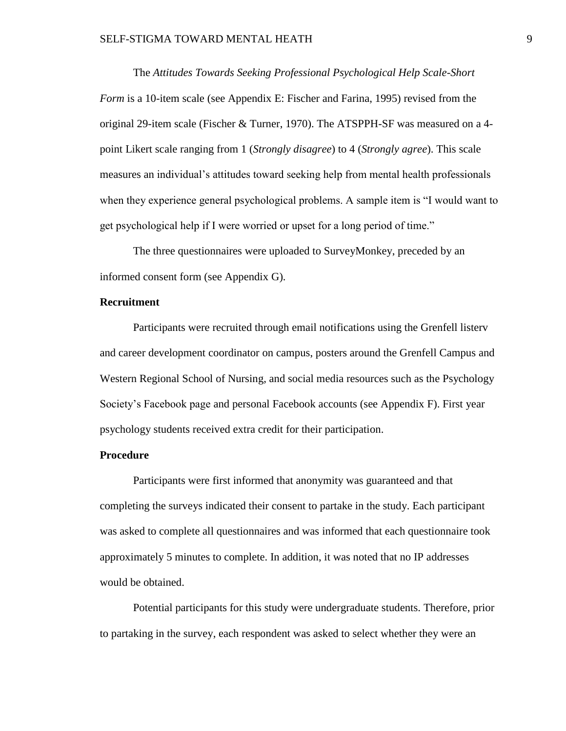The *Attitudes Towards Seeking Professional Psychological Help Scale-Short Form* is a 10-item scale (see Appendix E: Fischer and Farina, 1995) revised from the original 29-item scale (Fischer & Turner, 1970). The ATSPPH-SF was measured on a 4 point Likert scale ranging from 1 (*Strongly disagree*) to 4 (*Strongly agree*). This scale measures an individual's attitudes toward seeking help from mental health professionals when they experience general psychological problems. A sample item is "I would want to get psychological help if I were worried or upset for a long period of time."

The three questionnaires were uploaded to SurveyMonkey, preceded by an informed consent form (see Appendix G).

#### **Recruitment**

Participants were recruited through email notifications using the Grenfell listerv and career development coordinator on campus, posters around the Grenfell Campus and Western Regional School of Nursing, and social media resources such as the Psychology Society's Facebook page and personal Facebook accounts (see Appendix F). First year psychology students received extra credit for their participation.

#### **Procedure**

Participants were first informed that anonymity was guaranteed and that completing the surveys indicated their consent to partake in the study. Each participant was asked to complete all questionnaires and was informed that each questionnaire took approximately 5 minutes to complete. In addition, it was noted that no IP addresses would be obtained.

Potential participants for this study were undergraduate students. Therefore, prior to partaking in the survey, each respondent was asked to select whether they were an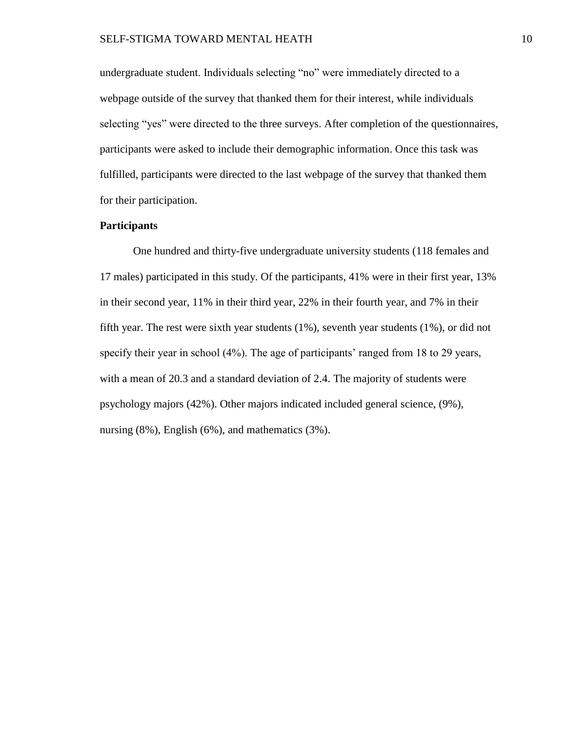undergraduate student. Individuals selecting "no" were immediately directed to a webpage outside of the survey that thanked them for their interest, while individuals selecting "yes" were directed to the three surveys. After completion of the questionnaires, participants were asked to include their demographic information. Once this task was fulfilled, participants were directed to the last webpage of the survey that thanked them for their participation.

### **Participants**

One hundred and thirty-five undergraduate university students (118 females and 17 males) participated in this study. Of the participants, 41% were in their first year, 13% in their second year, 11% in their third year, 22% in their fourth year, and 7% in their fifth year. The rest were sixth year students (1%), seventh year students (1%), or did not specify their year in school (4%). The age of participants' ranged from 18 to 29 years, with a mean of 20.3 and a standard deviation of 2.4. The majority of students were psychology majors (42%). Other majors indicated included general science, (9%), nursing (8%), English (6%), and mathematics (3%).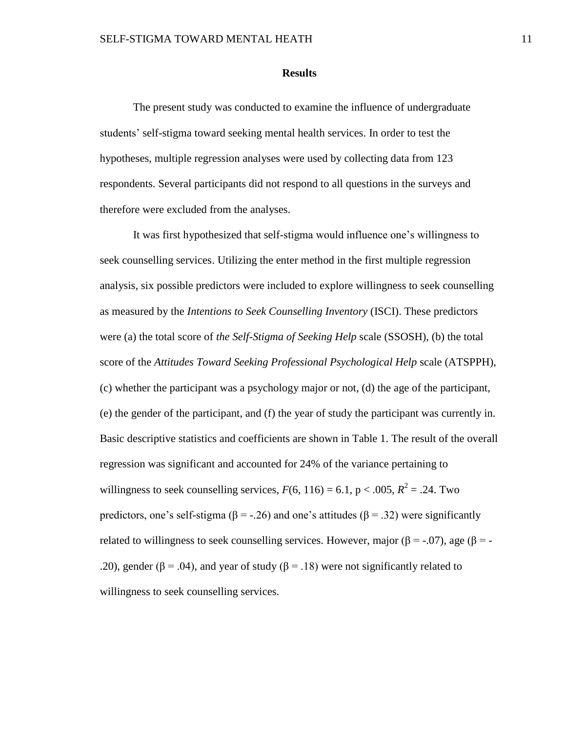#### **Results**

The present study was conducted to examine the influence of undergraduate students' self-stigma toward seeking mental health services. In order to test the hypotheses, multiple regression analyses were used by collecting data from 123 respondents. Several participants did not respond to all questions in the surveys and therefore were excluded from the analyses.

It was first hypothesized that self-stigma would influence one's willingness to seek counselling services. Utilizing the enter method in the first multiple regression analysis, six possible predictors were included to explore willingness to seek counselling as measured by the *Intentions to Seek Counselling Inventory* (ISCI). These predictors were (a) the total score of *the Self-Stigma of Seeking Help* scale (SSOSH), (b) the total score of the *Attitudes Toward Seeking Professional Psychological Help* scale (ATSPPH), (c) whether the participant was a psychology major or not, (d) the age of the participant, (e) the gender of the participant, and (f) the year of study the participant was currently in. Basic descriptive statistics and coefficients are shown in Table 1. The result of the overall regression was significant and accounted for 24% of the variance pertaining to willingness to seek counselling services,  $F(6, 116) = 6.1$ ,  $p < .005$ ,  $R^2 = .24$ . Two predictors, one's self-stigma ( $\beta$  = -.26) and one's attitudes ( $\beta$  = .32) were significantly related to willingness to seek counselling services. However, major ( $\beta$  = -.07), age ( $\beta$  = -.20), gender ( $\beta$  = .04), and year of study ( $\beta$  = .18) were not significantly related to willingness to seek counselling services.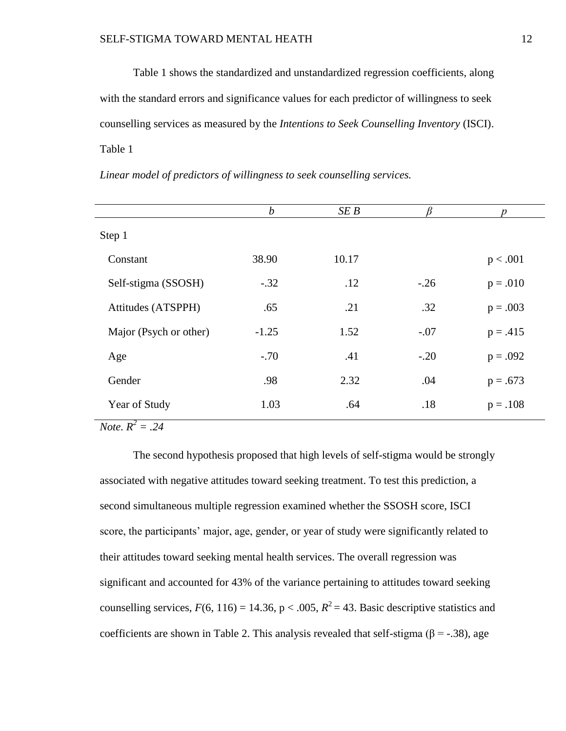Table 1 shows the standardized and unstandardized regression coefficients, along with the standard errors and significance values for each predictor of willingness to seek counselling services as measured by the *Intentions to Seek Counselling Inventory* (ISCI). Table 1

|                        | $\boldsymbol{b}$ | SE B  |        | n          |
|------------------------|------------------|-------|--------|------------|
| Step 1                 |                  |       |        |            |
| Constant               | 38.90            | 10.17 |        | p < .001   |
| Self-stigma (SSOSH)    | $-.32$           | .12   | $-.26$ | $p = .010$ |
| Attitudes (ATSPPH)     | .65              | .21   | .32    | $p = .003$ |
| Major (Psych or other) | $-1.25$          | 1.52  | $-.07$ | $p = .415$ |
| Age                    | $-.70$           | .41   | $-.20$ | $p = .092$ |
| Gender                 | .98              | 2.32  | .04    | $p = .673$ |
| Year of Study          | 1.03             | .64   | .18    | $p = .108$ |

*Linear model of predictors of willingness to seek counselling services.*

*Note.*  $R^2 = .24$ 

The second hypothesis proposed that high levels of self-stigma would be strongly associated with negative attitudes toward seeking treatment. To test this prediction, a second simultaneous multiple regression examined whether the SSOSH score, ISCI score, the participants' major, age, gender, or year of study were significantly related to their attitudes toward seeking mental health services. The overall regression was significant and accounted for 43% of the variance pertaining to attitudes toward seeking counselling services,  $F(6, 116) = 14.36$ ,  $p < .005$ ,  $R^2 = 43$ . Basic descriptive statistics and coefficients are shown in Table 2. This analysis revealed that self-stigma ( $\beta$  = -.38), age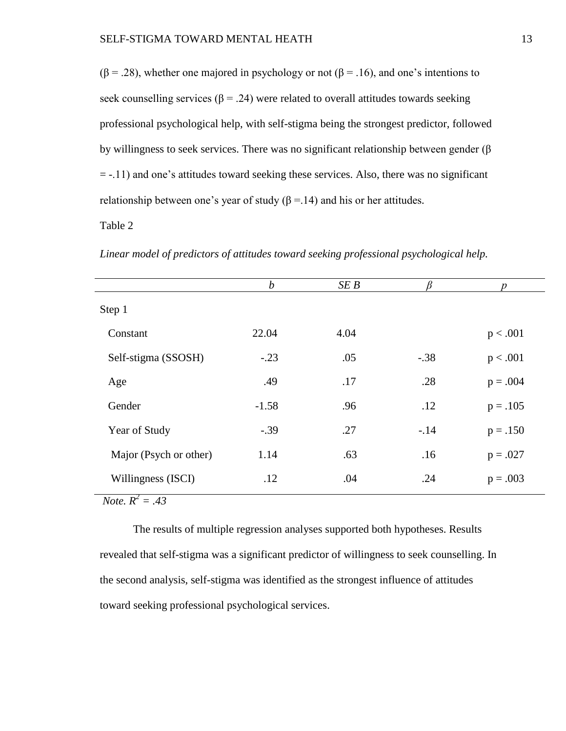$(β = .28)$ , whether one majored in psychology or not  $(β = .16)$ , and one's intentions to seek counselling services ( $\beta$  = .24) were related to overall attitudes towards seeking professional psychological help, with self-stigma being the strongest predictor, followed by willingness to seek services. There was no significant relationship between gender (β = -.11) and one's attitudes toward seeking these services. Also, there was no significant relationship between one's year of study  $(\beta = 14)$  and his or her attitudes.

Table 2

*Linear model of predictors of attitudes toward seeking professional psychological help.*

|                        | $\boldsymbol{b}$ | SEB  |        | $\boldsymbol{p}$ |
|------------------------|------------------|------|--------|------------------|
| Step 1                 |                  |      |        |                  |
| Constant               | 22.04            | 4.04 |        | p < .001         |
| Self-stigma (SSOSH)    | $-.23$           | .05  | $-.38$ | p < .001         |
| Age                    | .49              | .17  | .28    | $p = .004$       |
| Gender                 | $-1.58$          | .96  | .12    | $p = .105$       |
| Year of Study          | $-.39$           | .27  | $-.14$ | $p = .150$       |
| Major (Psych or other) | 1.14             | .63  | .16    | $p = .027$       |
| Willingness (ISCI)     | .12              | .04  | .24    | $p = .003$       |

*Note.*  $R^2 = .43$ 

The results of multiple regression analyses supported both hypotheses. Results revealed that self-stigma was a significant predictor of willingness to seek counselling. In the second analysis, self-stigma was identified as the strongest influence of attitudes toward seeking professional psychological services.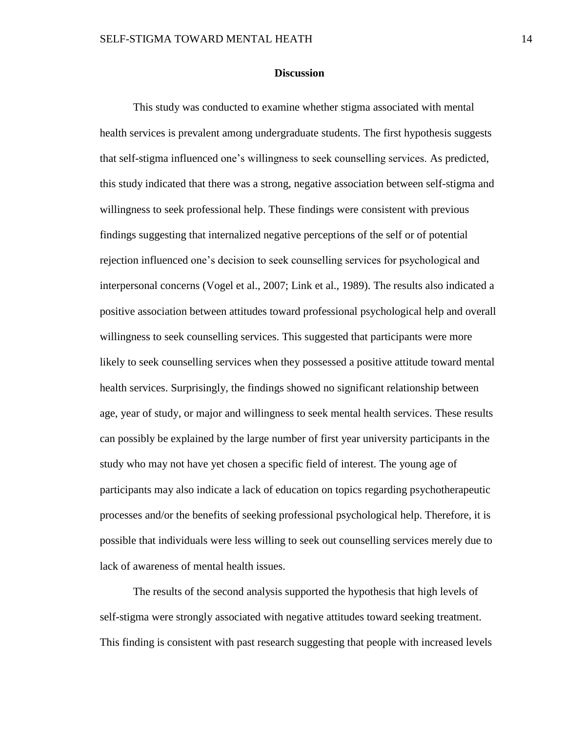#### **Discussion**

This study was conducted to examine whether stigma associated with mental health services is prevalent among undergraduate students. The first hypothesis suggests that self-stigma influenced one's willingness to seek counselling services. As predicted, this study indicated that there was a strong, negative association between self-stigma and willingness to seek professional help. These findings were consistent with previous findings suggesting that internalized negative perceptions of the self or of potential rejection influenced one's decision to seek counselling services for psychological and interpersonal concerns (Vogel et al., 2007; Link et al., 1989). The results also indicated a positive association between attitudes toward professional psychological help and overall willingness to seek counselling services. This suggested that participants were more likely to seek counselling services when they possessed a positive attitude toward mental health services. Surprisingly, the findings showed no significant relationship between age, year of study, or major and willingness to seek mental health services. These results can possibly be explained by the large number of first year university participants in the study who may not have yet chosen a specific field of interest. The young age of participants may also indicate a lack of education on topics regarding psychotherapeutic processes and/or the benefits of seeking professional psychological help. Therefore, it is possible that individuals were less willing to seek out counselling services merely due to lack of awareness of mental health issues.

The results of the second analysis supported the hypothesis that high levels of self-stigma were strongly associated with negative attitudes toward seeking treatment. This finding is consistent with past research suggesting that people with increased levels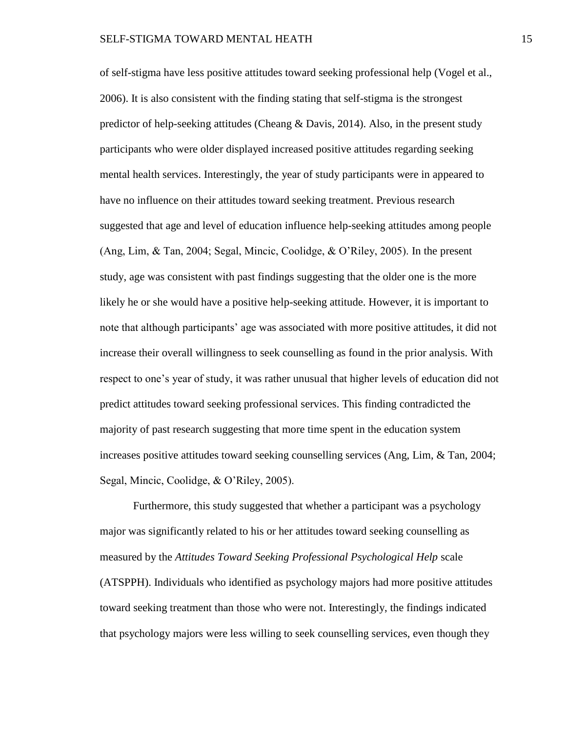of self-stigma have less positive attitudes toward seeking professional help (Vogel et al., 2006). It is also consistent with the finding stating that self-stigma is the strongest predictor of help-seeking attitudes (Cheang  $\&$  Davis, 2014). Also, in the present study participants who were older displayed increased positive attitudes regarding seeking mental health services. Interestingly, the year of study participants were in appeared to have no influence on their attitudes toward seeking treatment. Previous research suggested that age and level of education influence help-seeking attitudes among people (Ang, Lim, & Tan, 2004; Segal, Mincic, Coolidge, & O'Riley, 2005). In the present study, age was consistent with past findings suggesting that the older one is the more likely he or she would have a positive help-seeking attitude. However, it is important to note that although participants' age was associated with more positive attitudes, it did not increase their overall willingness to seek counselling as found in the prior analysis. With respect to one's year of study, it was rather unusual that higher levels of education did not predict attitudes toward seeking professional services. This finding contradicted the majority of past research suggesting that more time spent in the education system increases positive attitudes toward seeking counselling services (Ang, Lim, & Tan, 2004; Segal, Mincic, Coolidge, & O'Riley, 2005).

Furthermore, this study suggested that whether a participant was a psychology major was significantly related to his or her attitudes toward seeking counselling as measured by the *Attitudes Toward Seeking Professional Psychological Help* scale (ATSPPH). Individuals who identified as psychology majors had more positive attitudes toward seeking treatment than those who were not. Interestingly, the findings indicated that psychology majors were less willing to seek counselling services, even though they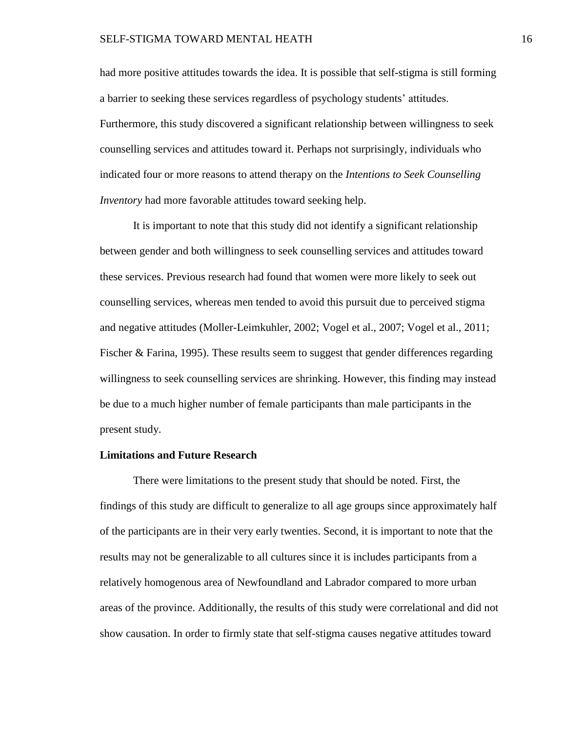had more positive attitudes towards the idea. It is possible that self-stigma is still forming a barrier to seeking these services regardless of psychology students' attitudes. Furthermore, this study discovered a significant relationship between willingness to seek counselling services and attitudes toward it. Perhaps not surprisingly, individuals who indicated four or more reasons to attend therapy on the *Intentions to Seek Counselling Inventory* had more favorable attitudes toward seeking help.

It is important to note that this study did not identify a significant relationship between gender and both willingness to seek counselling services and attitudes toward these services. Previous research had found that women were more likely to seek out counselling services, whereas men tended to avoid this pursuit due to perceived stigma and negative attitudes (Moller-Leimkuhler, 2002; Vogel et al., 2007; Vogel et al., 2011; Fischer & Farina, 1995). These results seem to suggest that gender differences regarding willingness to seek counselling services are shrinking. However, this finding may instead be due to a much higher number of female participants than male participants in the present study.

#### **Limitations and Future Research**

There were limitations to the present study that should be noted. First, the findings of this study are difficult to generalize to all age groups since approximately half of the participants are in their very early twenties. Second, it is important to note that the results may not be generalizable to all cultures since it is includes participants from a relatively homogenous area of Newfoundland and Labrador compared to more urban areas of the province. Additionally, the results of this study were correlational and did not show causation. In order to firmly state that self-stigma causes negative attitudes toward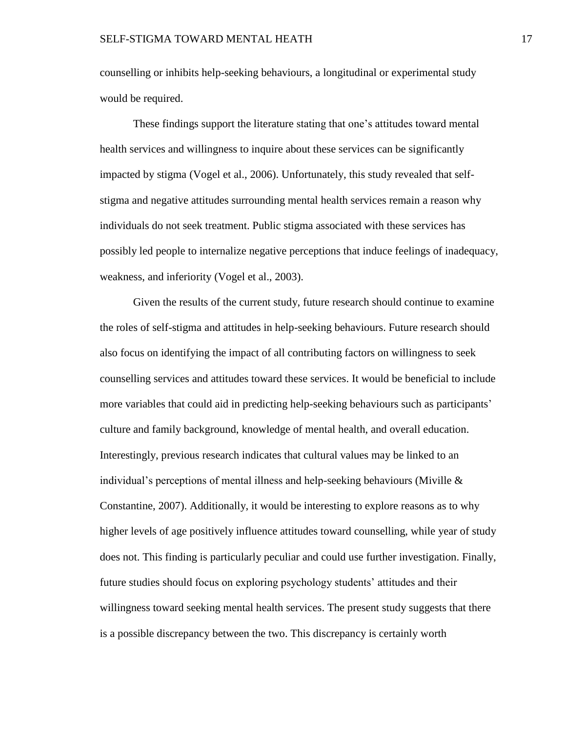counselling or inhibits help-seeking behaviours, a longitudinal or experimental study would be required.

These findings support the literature stating that one's attitudes toward mental health services and willingness to inquire about these services can be significantly impacted by stigma (Vogel et al., 2006). Unfortunately, this study revealed that selfstigma and negative attitudes surrounding mental health services remain a reason why individuals do not seek treatment. Public stigma associated with these services has possibly led people to internalize negative perceptions that induce feelings of inadequacy, weakness, and inferiority (Vogel et al., 2003).

Given the results of the current study, future research should continue to examine the roles of self-stigma and attitudes in help-seeking behaviours. Future research should also focus on identifying the impact of all contributing factors on willingness to seek counselling services and attitudes toward these services. It would be beneficial to include more variables that could aid in predicting help-seeking behaviours such as participants' culture and family background, knowledge of mental health, and overall education. Interestingly, previous research indicates that cultural values may be linked to an individual's perceptions of mental illness and help-seeking behaviours (Miville & Constantine, 2007). Additionally, it would be interesting to explore reasons as to why higher levels of age positively influence attitudes toward counselling, while year of study does not. This finding is particularly peculiar and could use further investigation. Finally, future studies should focus on exploring psychology students' attitudes and their willingness toward seeking mental health services. The present study suggests that there is a possible discrepancy between the two. This discrepancy is certainly worth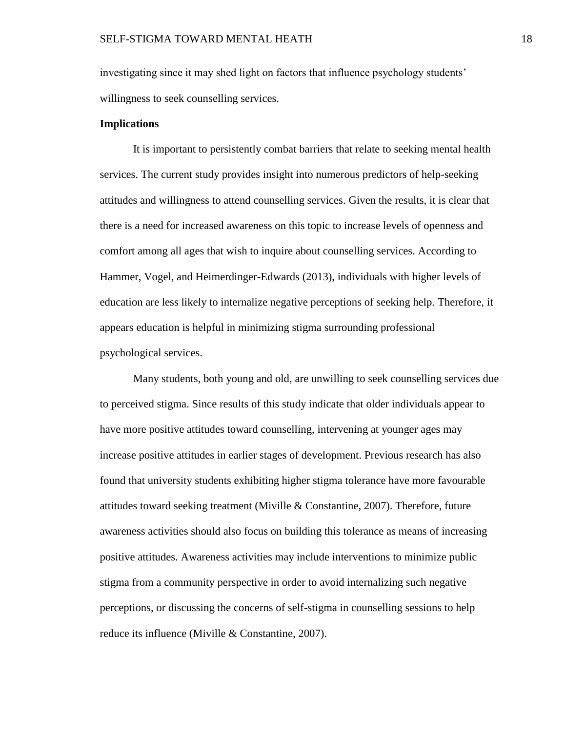investigating since it may shed light on factors that influence psychology students' willingness to seek counselling services.

#### **Implications**

It is important to persistently combat barriers that relate to seeking mental health services. The current study provides insight into numerous predictors of help-seeking attitudes and willingness to attend counselling services. Given the results, it is clear that there is a need for increased awareness on this topic to increase levels of openness and comfort among all ages that wish to inquire about counselling services. According to Hammer, Vogel, and Heimerdinger-Edwards (2013), individuals with higher levels of education are less likely to internalize negative perceptions of seeking help. Therefore, it appears education is helpful in minimizing stigma surrounding professional psychological services.

Many students, both young and old, are unwilling to seek counselling services due to perceived stigma. Since results of this study indicate that older individuals appear to have more positive attitudes toward counselling, intervening at younger ages may increase positive attitudes in earlier stages of development. Previous research has also found that university students exhibiting higher stigma tolerance have more favourable attitudes toward seeking treatment (Miville  $&$  Constantine, 2007). Therefore, future awareness activities should also focus on building this tolerance as means of increasing positive attitudes. Awareness activities may include interventions to minimize public stigma from a community perspective in order to avoid internalizing such negative perceptions, or discussing the concerns of self-stigma in counselling sessions to help reduce its influence (Miville & Constantine, 2007).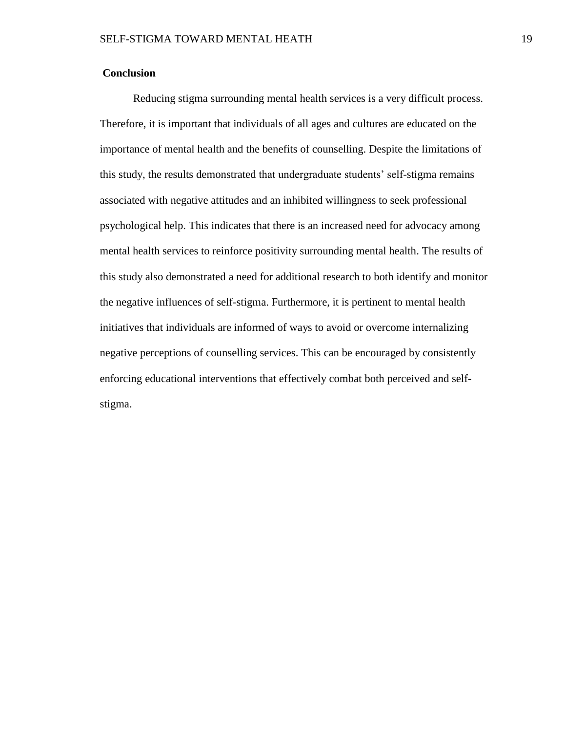## **Conclusion**

Reducing stigma surrounding mental health services is a very difficult process. Therefore, it is important that individuals of all ages and cultures are educated on the importance of mental health and the benefits of counselling. Despite the limitations of this study, the results demonstrated that undergraduate students' self-stigma remains associated with negative attitudes and an inhibited willingness to seek professional psychological help. This indicates that there is an increased need for advocacy among mental health services to reinforce positivity surrounding mental health. The results of this study also demonstrated a need for additional research to both identify and monitor the negative influences of self-stigma. Furthermore, it is pertinent to mental health initiatives that individuals are informed of ways to avoid or overcome internalizing negative perceptions of counselling services. This can be encouraged by consistently enforcing educational interventions that effectively combat both perceived and selfstigma.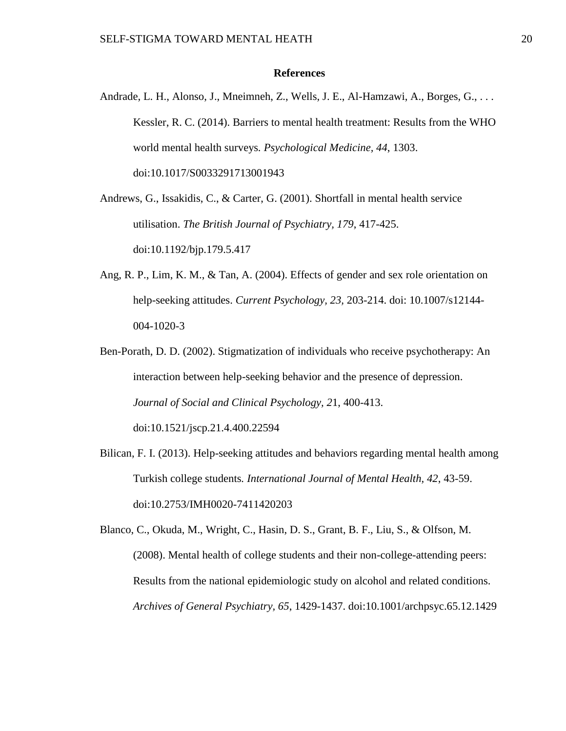#### **References**

Andrade, L. H., Alonso, J., Mneimneh, Z., Wells, J. E., Al-Hamzawi, A., Borges, G., . . . Kessler, R. C. (2014). Barriers to mental health treatment: Results from the WHO world mental health surveys*. Psychological Medicine, 44*, 1303. doi:10.1017/S0033291713001943

Andrews, G., Issakidis, C., & Carter, G. (2001). Shortfall in mental health service utilisation. *The British Journal of Psychiatry, 179*, 417-425. doi:10.1192/bjp.179.5.417

- Ang, R. P., Lim, K. M., & Tan, A. (2004). Effects of gender and sex role orientation on help-seeking attitudes. *Current Psychology, 23,* 203-214. doi: 10.1007/s12144- 004-1020-3
- Ben-Porath, D. D. (2002). Stigmatization of individuals who receive psychotherapy: An interaction between help-seeking behavior and the presence of depression. *Journal of Social and Clinical Psychology, 2*1, 400-413. doi:10.1521/jscp.21.4.400.22594
- Bilican, F. I. (2013). Help-seeking attitudes and behaviors regarding mental health among Turkish college students*. International Journal of Mental Health, 42*, 43-59. doi:10.2753/IMH0020-7411420203

Blanco, C., Okuda, M., Wright, C., Hasin, D. S., Grant, B. F., Liu, S., & Olfson, M. (2008). Mental health of college students and their non-college-attending peers: Results from the national epidemiologic study on alcohol and related conditions. *Archives of General Psychiatry, 65*, 1429-1437. doi:10.1001/archpsyc.65.12.1429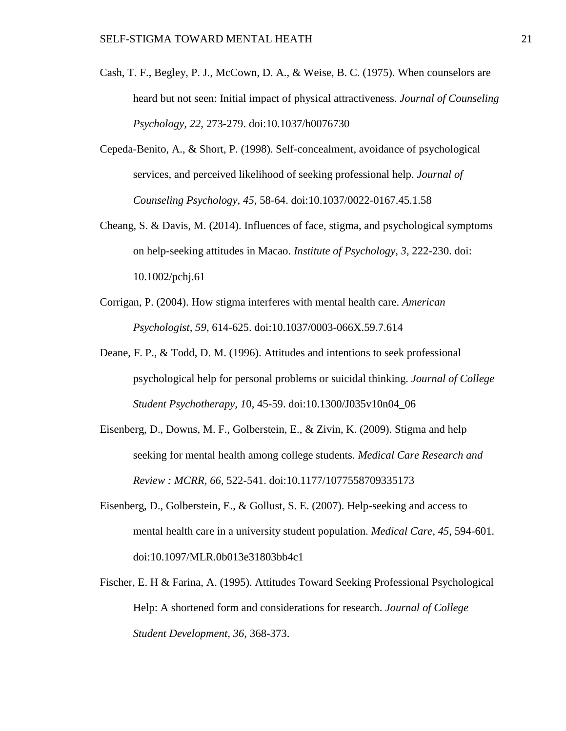- Cash, T. F., Begley, P. J., McCown, D. A., & Weise, B. C. (1975). When counselors are heard but not seen: Initial impact of physical attractiveness*. Journal of Counseling Psychology, 22*, 273-279. doi:10.1037/h0076730
- Cepeda-Benito, A., & Short, P. (1998). Self-concealment, avoidance of psychological services, and perceived likelihood of seeking professional help. *Journal of Counseling Psychology, 45,* 58-64. doi:10.1037/0022-0167.45.1.58
- Cheang, S. & Davis, M. (2014). Influences of face, stigma, and psychological symptoms on help-seeking attitudes in Macao. *Institute of Psychology, 3,* 222-230. doi: 10.1002/pchj.61
- Corrigan, P. (2004). How stigma interferes with mental health care. *American Psychologist, 59*, 614-625. doi:10.1037/0003-066X.59.7.614
- Deane, F. P., & Todd, D. M. (1996). Attitudes and intentions to seek professional psychological help for personal problems or suicidal thinking. *Journal of College Student Psychotherapy, 1*0, 45-59. doi:10.1300/J035v10n04\_06
- Eisenberg, D., Downs, M. F., Golberstein, E., & Zivin, K. (2009). Stigma and help seeking for mental health among college students. *Medical Care Research and Review : MCRR, 66*, 522-541. doi:10.1177/1077558709335173
- Eisenberg, D., Golberstein, E., & Gollust, S. E. (2007). Help-seeking and access to mental health care in a university student population. *Medical Care, 45*, 594-601. doi:10.1097/MLR.0b013e31803bb4c1
- Fischer, E. H & Farina, A. (1995). Attitudes Toward Seeking Professional Psychological Help: A shortened form and considerations for research. *Journal of College Student Development, 36,* 368-373.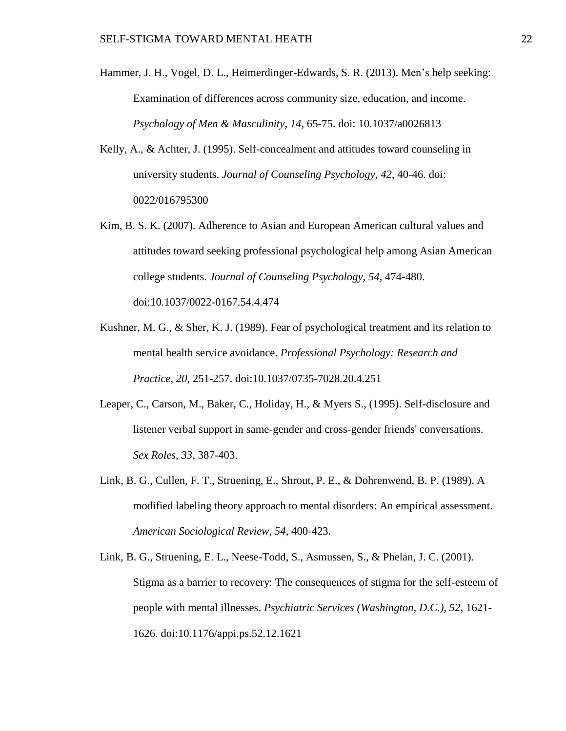- Hammer, J. H., Vogel, D. L., Heimerdinger-Edwards, S. R. (2013). Men's help seeking: Examination of differences across community size, education, and income. *Psychology of Men & Masculinity*, *14*, 65-75. doi: 10.1037/a0026813
- Kelly, A., & Achter, J. (1995). Self-concealment and attitudes toward counseling in university students. *Journal of Counseling Psychology, 42*, 40-46. doi: 0022/016795300
- Kim, B. S. K. (2007). Adherence to Asian and European American cultural values and attitudes toward seeking professional psychological help among Asian American college students. *Journal of Counseling Psychology, 54*, 474-480. doi:10.1037/0022-0167.54.4.474
- Kushner, M. G., & Sher, K. J. (1989). Fear of psychological treatment and its relation to mental health service avoidance. *Professional Psychology: Research and Practice, 20*, 251-257. doi:10.1037/0735-7028.20.4.251
- Leaper, C., Carson, M., Baker, C., Holiday, H., & Myers S., (1995). Self-disclosure and listener verbal support in same-gender and cross-gender friends' conversations. *Sex Roles, 33*, 387-403.
- Link, B. G., Cullen, F. T., Struening, E., Shrout, P. E., & Dohrenwend, B. P. (1989). A modified labeling theory approach to mental disorders: An empirical assessment. *American Sociological Review, 54*, 400-423.
- Link, B. G., Struening, E. L., Neese-Todd, S., Asmussen, S., & Phelan, J. C. (2001). Stigma as a barrier to recovery: The consequences of stigma for the self-esteem of people with mental illnesses. *Psychiatric Services (Washington, D.C.), 52*, 1621- 1626. doi:10.1176/appi.ps.52.12.1621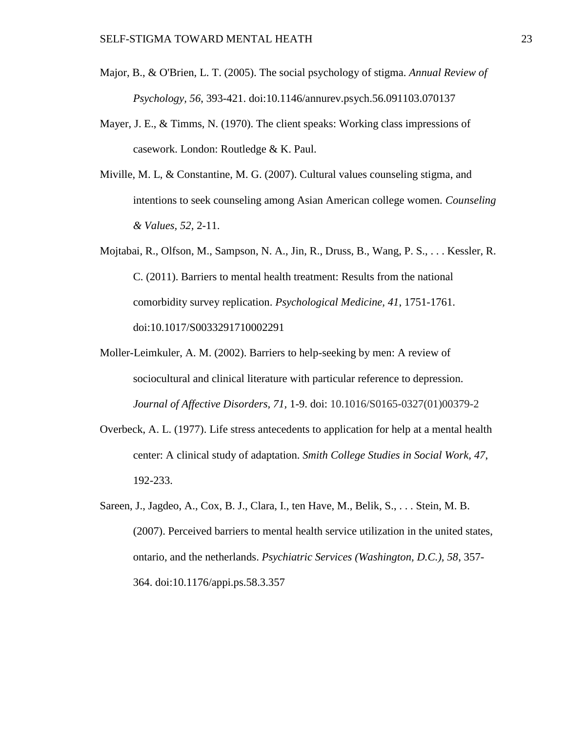- Major, B., & O'Brien, L. T. (2005). The social psychology of stigma. *Annual Review of Psychology, 56*, 393-421. doi:10.1146/annurev.psych.56.091103.070137
- Mayer, J. E., & Timms, N. (1970). The client speaks: Working class impressions of casework. London: Routledge & K. Paul.
- Miville, M. L, & Constantine, M. G. (2007). Cultural values counseling stigma, and intentions to seek counseling among Asian American college women. *Counseling & Values, 52,* 2-11.
- Mojtabai, R., Olfson, M., Sampson, N. A., Jin, R., Druss, B., Wang, P. S., . . . Kessler, R. C. (2011). Barriers to mental health treatment: Results from the national comorbidity survey replication. *Psychological Medicine, 41*, 1751-1761. doi:10.1017/S0033291710002291
- Moller-Leimkuler, A. M. (2002). Barriers to help-seeking by men: A review of sociocultural and clinical literature with particular reference to depression. *Journal of Affective Disorders, 71,* 1-9. doi: 10.1016/S0165-0327(01)00379-2
- Overbeck, A. L. (1977). Life stress antecedents to application for help at a mental health center: A clinical study of adaptation. *Smith College Studies in Social Work, 47*, 192-233.
- Sareen, J., Jagdeo, A., Cox, B. J., Clara, I., ten Have, M., Belik, S., . . . Stein, M. B. (2007). Perceived barriers to mental health service utilization in the united states, ontario, and the netherlands. *Psychiatric Services (Washington, D.C.), 58*, 357- 364. doi:10.1176/appi.ps.58.3.357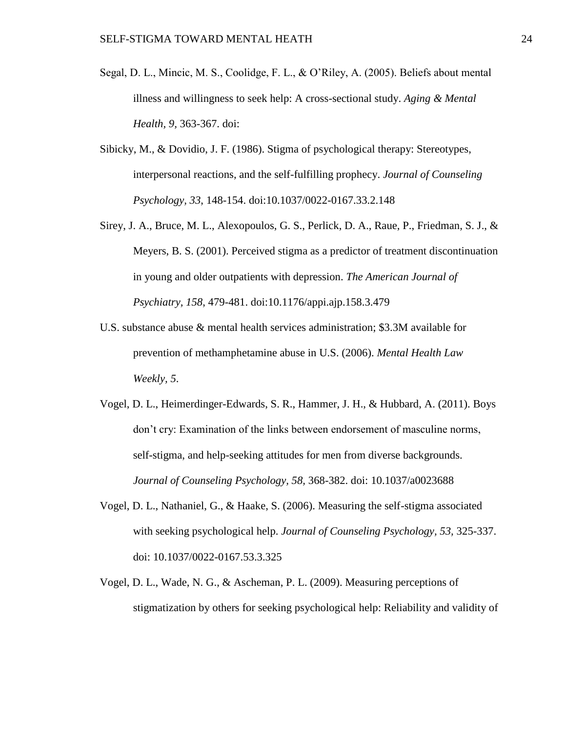- Segal, D. L., Mincic, M. S., Coolidge, F. L., & O'Riley, A. (2005). Beliefs about mental illness and willingness to seek help: A cross-sectional study. *Aging & Mental Health, 9,* 363-367. doi:
- Sibicky, M., & Dovidio, J. F. (1986). Stigma of psychological therapy: Stereotypes, interpersonal reactions, and the self-fulfilling prophecy. *Journal of Counseling Psychology, 33*, 148-154. doi:10.1037/0022-0167.33.2.148
- Sirey, J. A., Bruce, M. L., Alexopoulos, G. S., Perlick, D. A., Raue, P., Friedman, S. J., & Meyers, B. S. (2001). Perceived stigma as a predictor of treatment discontinuation in young and older outpatients with depression. *The American Journal of Psychiatry, 158*, 479-481. doi:10.1176/appi.ajp.158.3.479
- U.S. substance abuse & mental health services administration; \$3.3M available for prevention of methamphetamine abuse in U.S. (2006). *Mental Health Law Weekly, 5*.
- Vogel, D. L., Heimerdinger-Edwards, S. R., Hammer, J. H., & Hubbard, A. (2011). Boys don't cry: Examination of the links between endorsement of masculine norms, self-stigma, and help-seeking attitudes for men from diverse backgrounds. *Journal of Counseling Psychology, 58,* 368-382. doi: 10.1037/a0023688
- Vogel, D. L., Nathaniel, G., & Haake, S. (2006). Measuring the self-stigma associated with seeking psychological help. *Journal of Counseling Psychology, 53,* 325-337. doi: 10.1037/0022-0167.53.3.325
- Vogel, D. L., Wade, N. G., & Ascheman, P. L. (2009). Measuring perceptions of stigmatization by others for seeking psychological help: Reliability and validity of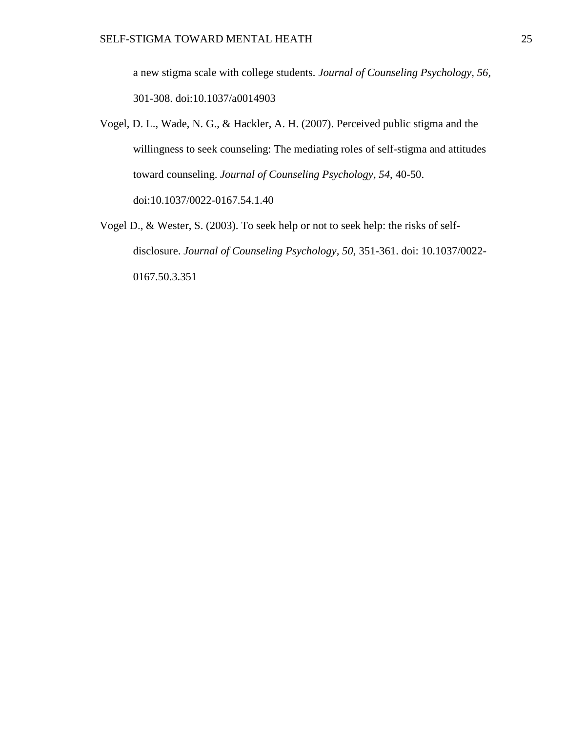a new stigma scale with college students*. Journal of Counseling Psychology, 56,* 301-308. doi:10.1037/a0014903

- Vogel, D. L., Wade, N. G., & Hackler, A. H. (2007). Perceived public stigma and the willingness to seek counseling: The mediating roles of self-stigma and attitudes toward counseling. *Journal of Counseling Psychology, 54*, 40-50. doi:10.1037/0022-0167.54.1.40
- Vogel D., & Wester, S. (2003). To seek help or not to seek help: the risks of selfdisclosure. *Journal of Counseling Psychology, 50*, 351-361. doi: 10.1037/0022- 0167.50.3.351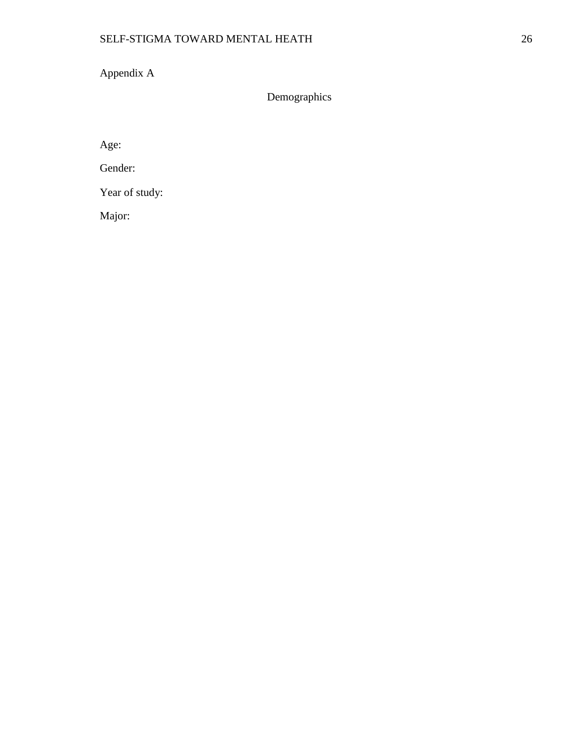Appendix A

Demographics

Age:

Gender:

Year of study:

Major: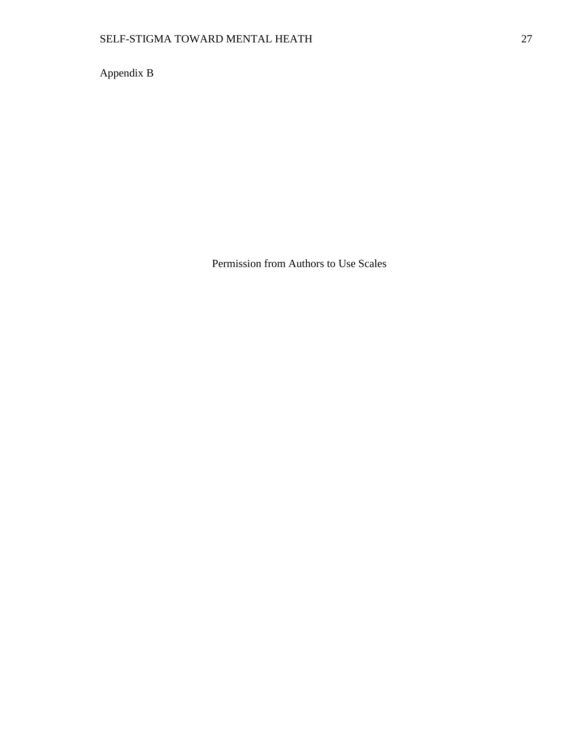Appendix B

Permission from Authors to Use Scales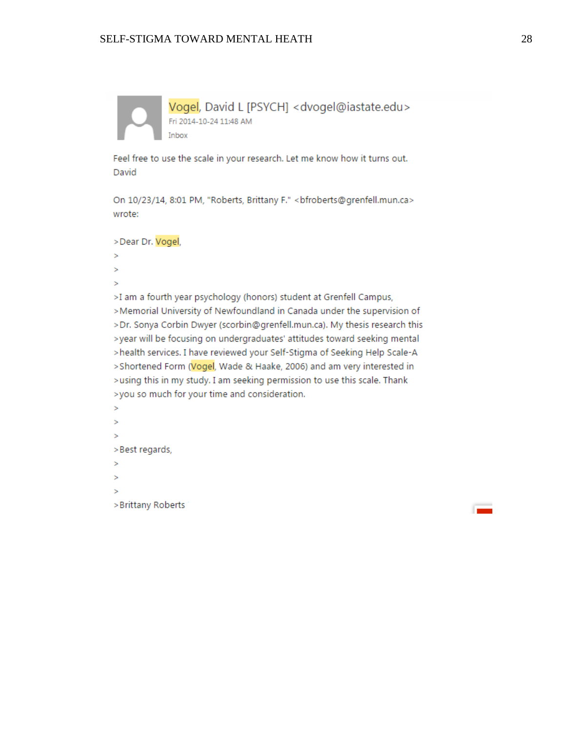Vogel, David L [PSYCH] < dvogel@iastate.edu> Fri 2014-10-24 11:48 AM Inbox

Feel free to use the scale in your research. Let me know how it turns out. David

On 10/23/14, 8:01 PM, "Roberts, Brittany F." < bfroberts@grenfell.mun.ca> wrote:

>Dear Dr. Vogel,

- s
- s
- Ŝ

>I am a fourth year psychology (honors) student at Grenfell Campus, >Memorial University of Newfoundland in Canada under the supervision of >Dr. Sonya Corbin Dwyer (scorbin@grenfell.mun.ca). My thesis research this >year will be focusing on undergraduates' attitudes toward seeking mental >health services. I have reviewed your Self-Stigma of Seeking Help Scale-A >Shortened Form (Vogel, Wade & Haake, 2006) and am very interested in >using this in my study. I am seeking permission to use this scale. Thank >you so much for your time and consideration.

 $\mathbf{R}$  $\mathbf{A}$ Ŝ >Best regards, × Ŝ

 $\mathbf{v}_\mathrm{a}$ 

>Brittany Roberts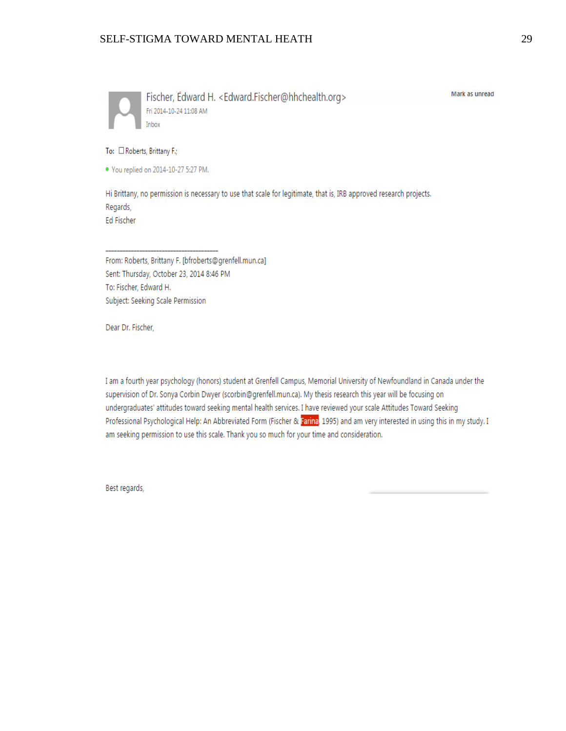

Fischer, Edward H. < Edward.Fischer@hhchealth.org> Fri 2014-10-24 11:08 AM

Mark as unread

#### To: □ Roberts, Brittany F.;

• You replied on 2014-10-27 5:27 PM.

Hi Brittany, no permission is necessary to use that scale for legitimate, that is, IRB approved research projects. Regards, Ed Fischer

From: Roberts, Brittany F. [bfroberts@grenfell.mun.ca] Sent: Thursday, October 23, 2014 8:46 PM To: Fischer, Edward H. Subject: Seeking Scale Permission

Dear Dr. Fischer,

I am a fourth year psychology (honors) student at Grenfell Campus, Memorial University of Newfoundland in Canada under the supervision of Dr. Sonya Corbin Dwyer (scorbin@grenfell.mun.ca). My thesis research this year will be focusing on undergraduates' attitudes toward seeking mental health services. I have reviewed your scale Attitudes Toward Seeking Professional Psychological Help: An Abbreviated Form (Fischer & Farina, 1995) and am very interested in using this in my study. I am seeking permission to use this scale. Thank you so much for your time and consideration.

Best regards,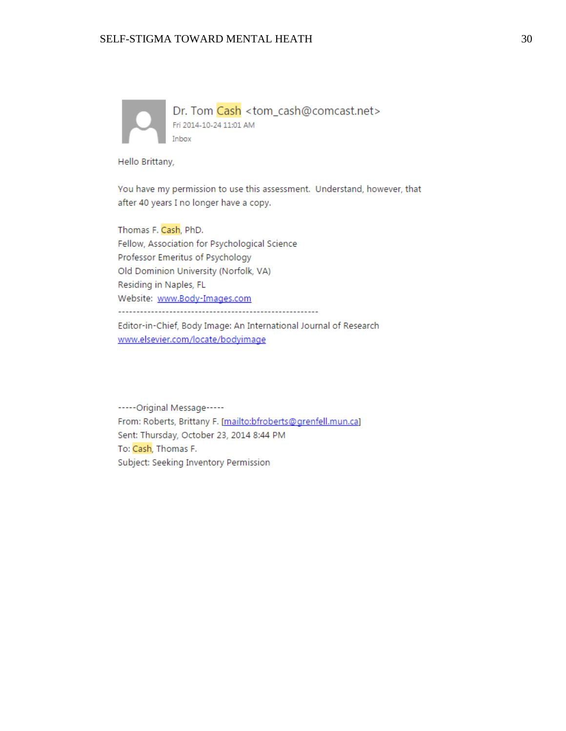

Hello Brittany,

You have my permission to use this assessment. Understand, however, that after 40 years I no longer have a copy.

Thomas F. Cash, PhD. Fellow, Association for Psychological Science Professor Emeritus of Psychology Old Dominion University (Norfolk, VA) Residing in Naples, FL Website: www.Body-Images.com 

Editor-in-Chief, Body Image: An International Journal of Research www.elsevier.com/locate/bodyimage

----- Original Message-----From: Roberts, Brittany F. [mailto:bfroberts@grenfell.mun.ca] Sent: Thursday, October 23, 2014 8:44 PM To: Cash, Thomas F. Subject: Seeking Inventory Permission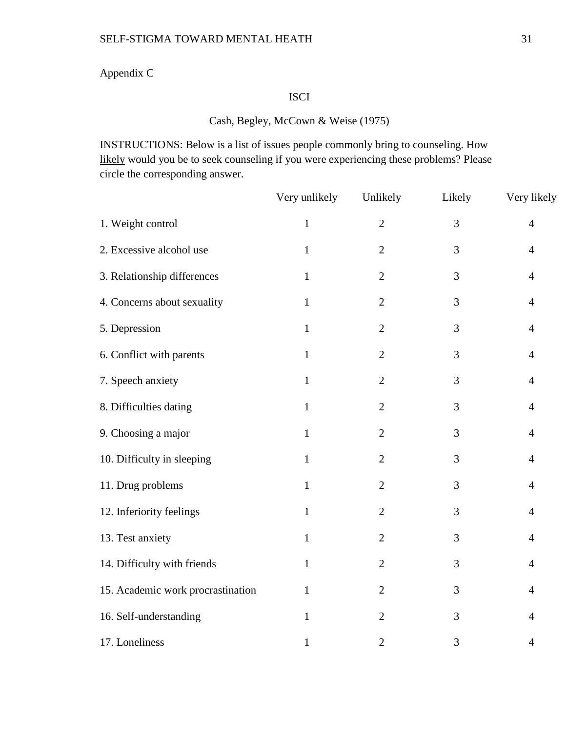## Appendix C

## ISCI

## Cash, Begley, McCown & Weise (1975)

INSTRUCTIONS: Below is a list of issues people commonly bring to counseling. How likely would you be to seek counseling if you were experiencing these problems? Please circle the corresponding answer.

|                                   | Very unlikely | Unlikely       | Likely | Very likely    |
|-----------------------------------|---------------|----------------|--------|----------------|
| 1. Weight control                 | $\mathbf{1}$  | $\overline{2}$ | 3      | $\overline{4}$ |
| 2. Excessive alcohol use          | $\mathbf{1}$  | $\overline{2}$ | 3      | $\overline{4}$ |
| 3. Relationship differences       | $\mathbf{1}$  | $\overline{2}$ | 3      | $\overline{4}$ |
| 4. Concerns about sexuality       | $\mathbf{1}$  | $\overline{2}$ | 3      | $\overline{4}$ |
| 5. Depression                     | $\mathbf{1}$  | $\overline{2}$ | 3      | $\overline{4}$ |
| 6. Conflict with parents          | $\mathbf{1}$  | $\mathbf{2}$   | 3      | $\overline{4}$ |
| 7. Speech anxiety                 | $\mathbf{1}$  | $\overline{2}$ | 3      | $\overline{4}$ |
| 8. Difficulties dating            | $\mathbf{1}$  | $\overline{2}$ | 3      | $\overline{4}$ |
| 9. Choosing a major               | $\mathbf{1}$  | $\overline{2}$ | 3      | $\overline{4}$ |
| 10. Difficulty in sleeping        | $\mathbf{1}$  | $\mathbf{2}$   | 3      | $\overline{4}$ |
| 11. Drug problems                 | $\mathbf{1}$  | $\overline{2}$ | 3      | $\overline{4}$ |
| 12. Inferiority feelings          | $\mathbf{1}$  | $\sqrt{2}$     | 3      | $\overline{4}$ |
| 13. Test anxiety                  | $\mathbf{1}$  | $\mathbf{2}$   | 3      | $\overline{4}$ |
| 14. Difficulty with friends       | $\mathbf{1}$  | $\mathbf{2}$   | 3      | $\overline{4}$ |
| 15. Academic work procrastination | $\mathbf{1}$  | $\overline{2}$ | 3      | $\overline{4}$ |
| 16. Self-understanding            | $\mathbf{1}$  | $\overline{2}$ | 3      | $\overline{4}$ |
| 17. Loneliness                    | $\mathbf{1}$  | $\overline{2}$ | 3      | $\overline{4}$ |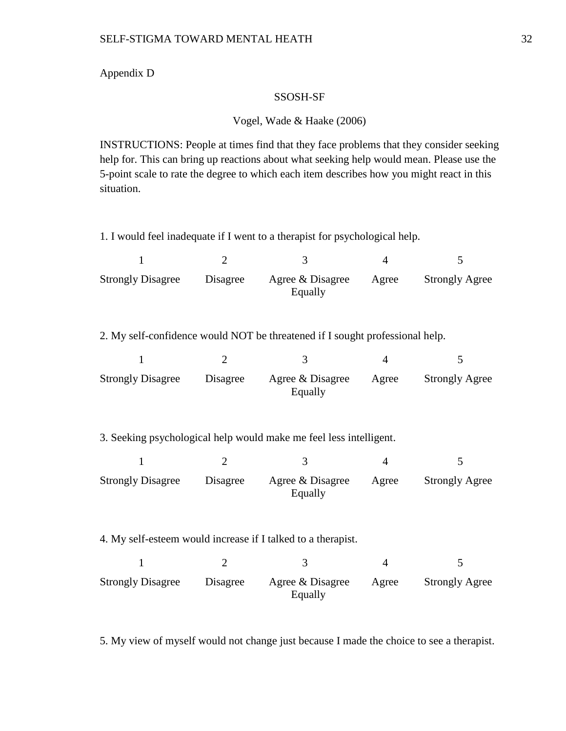#### Appendix D

#### SSOSH-SF

#### Vogel, Wade & Haake (2006)

INSTRUCTIONS: People at times find that they face problems that they consider seeking help for. This can bring up reactions about what seeking help would mean. Please use the 5-point scale to rate the degree to which each item describes how you might react in this situation.

1. I would feel inadequate if I went to a therapist for psychological help.

| <b>Strongly Disagree</b> | Disagree | Agree & Disagree<br>Equally | Agree | <b>Strongly Agree</b> |
|--------------------------|----------|-----------------------------|-------|-----------------------|

2. My self-confidence would NOT be threatened if I sought professional help.

| <b>Strongly Disagree</b> | Disagree | Agree & Disagree<br>Equally | Agree | <b>Strongly Agree</b> |
|--------------------------|----------|-----------------------------|-------|-----------------------|

3. Seeking psychological help would make me feel less intelligent.

| <b>Strongly Disagree</b> | Disagree | Agree & Disagree<br>Equally | Agree | <b>Strongly Agree</b> |
|--------------------------|----------|-----------------------------|-------|-----------------------|

4. My self-esteem would increase if I talked to a therapist.

| <b>Strongly Disagree</b> | Disagree | Agree & Disagree<br>Equally | Agree | <b>Strongly Agree</b> |
|--------------------------|----------|-----------------------------|-------|-----------------------|

5. My view of myself would not change just because I made the choice to see a therapist.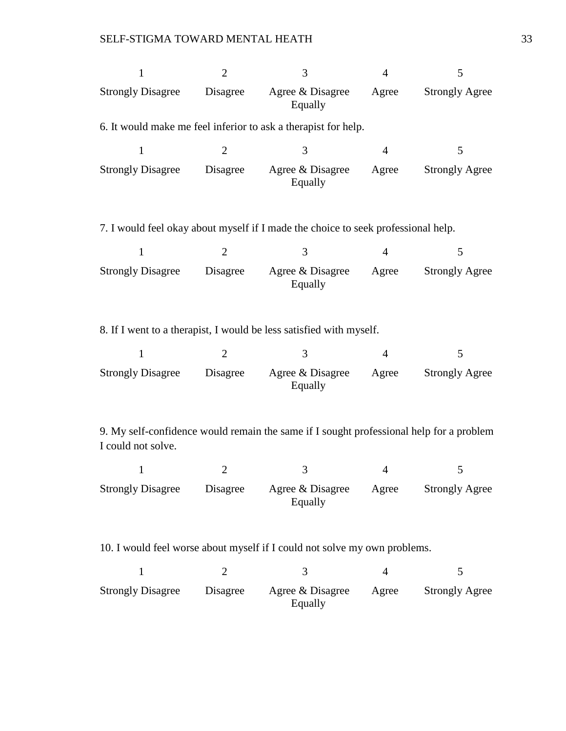| 1                        | $\overline{2}$ | 3                                                                                       | $\overline{4}$ | 5                     |
|--------------------------|----------------|-----------------------------------------------------------------------------------------|----------------|-----------------------|
| <b>Strongly Disagree</b> | Disagree       | Agree & Disagree<br>Equally                                                             | Agree          | <b>Strongly Agree</b> |
|                          |                | 6. It would make me feel inferior to ask a therapist for help.                          |                |                       |
| $\mathbf{1}$             | 2              | 3                                                                                       | $\overline{4}$ | 5                     |
| <b>Strongly Disagree</b> | Disagree       | Agree & Disagree<br>Equally                                                             | Agree          | <b>Strongly Agree</b> |
|                          |                | 7. I would feel okay about myself if I made the choice to seek professional help.       |                |                       |
| $\mathbf{1}$             | 2              | 3                                                                                       | $\overline{4}$ | 5                     |
| <b>Strongly Disagree</b> | Disagree       | Agree & Disagree<br>Equally                                                             | Agree          | <b>Strongly Agree</b> |
|                          |                | 8. If I went to a therapist, I would be less satisfied with myself.                     |                |                       |
|                          |                |                                                                                         |                |                       |
| $\mathbf{1}$             | $\overline{2}$ | 3                                                                                       | $\overline{4}$ | 5                     |
| <b>Strongly Disagree</b> | Disagree       | Agree & Disagree<br>Equally                                                             | Agree          | <b>Strongly Agree</b> |
| I could not solve.       |                | 9. My self-confidence would remain the same if I sought professional help for a problem |                |                       |
| 1                        | $\overline{2}$ | 3                                                                                       | 4              | 5                     |
| <b>Strongly Disagree</b> | Disagree       | Agree & Disagree<br>Equally                                                             | Agree          | <b>Strongly Agree</b> |
|                          |                | 10. I would feel worse about myself if I could not solve my own problems.               |                |                       |
| $\mathbf{1}$             | $\overline{2}$ | 3                                                                                       | $\overline{4}$ | 5                     |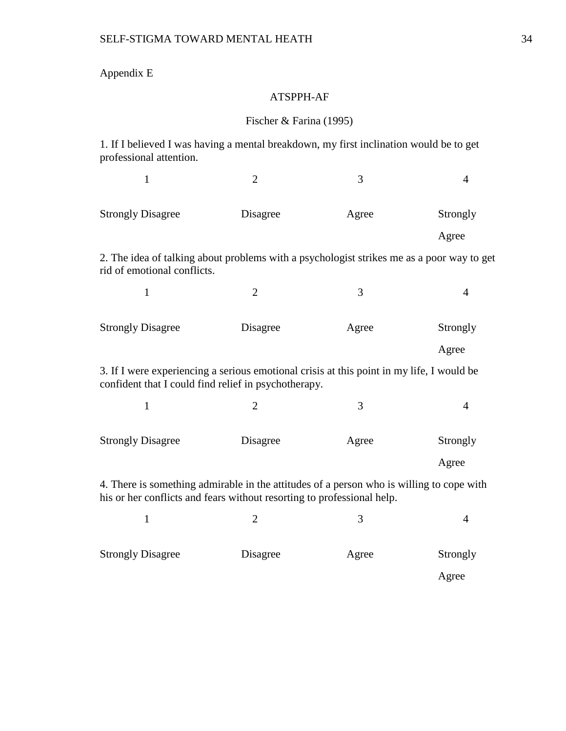# Appendix E

## ATSPPH-AF

## Fischer & Farina (1995)

1. If I believed I was having a mental breakdown, my first inclination would be to get professional attention.

| $\mathbf{1}$                                                                                                                                                       | $\overline{2}$ | 3     | $\overline{4}$ |  |  |  |  |
|--------------------------------------------------------------------------------------------------------------------------------------------------------------------|----------------|-------|----------------|--|--|--|--|
| <b>Strongly Disagree</b>                                                                                                                                           | Disagree       | Agree | Strongly       |  |  |  |  |
|                                                                                                                                                                    |                |       | Agree          |  |  |  |  |
| 2. The idea of talking about problems with a psychologist strikes me as a poor way to get<br>rid of emotional conflicts.                                           |                |       |                |  |  |  |  |
| $\mathbf{1}$                                                                                                                                                       | $\overline{2}$ | 3     | $\overline{4}$ |  |  |  |  |
| <b>Strongly Disagree</b>                                                                                                                                           | Disagree       | Agree | Strongly       |  |  |  |  |
|                                                                                                                                                                    |                |       | Agree          |  |  |  |  |
| 3. If I were experiencing a serious emotional crisis at this point in my life, I would be<br>confident that I could find relief in psychotherapy.                  |                |       |                |  |  |  |  |
| $\mathbf{1}$                                                                                                                                                       | $\overline{2}$ | 3     | $\overline{4}$ |  |  |  |  |
| <b>Strongly Disagree</b>                                                                                                                                           | Disagree       | Agree | Strongly       |  |  |  |  |
|                                                                                                                                                                    |                |       | Agree          |  |  |  |  |
| 4. There is something admirable in the attitudes of a person who is willing to cope with<br>his or her conflicts and fears without resorting to professional help. |                |       |                |  |  |  |  |
| $\mathbf{1}$                                                                                                                                                       | $\overline{2}$ | 3     | $\overline{4}$ |  |  |  |  |
| <b>Strongly Disagree</b>                                                                                                                                           | Disagree       | Agree | Strongly       |  |  |  |  |
|                                                                                                                                                                    |                |       | Agree          |  |  |  |  |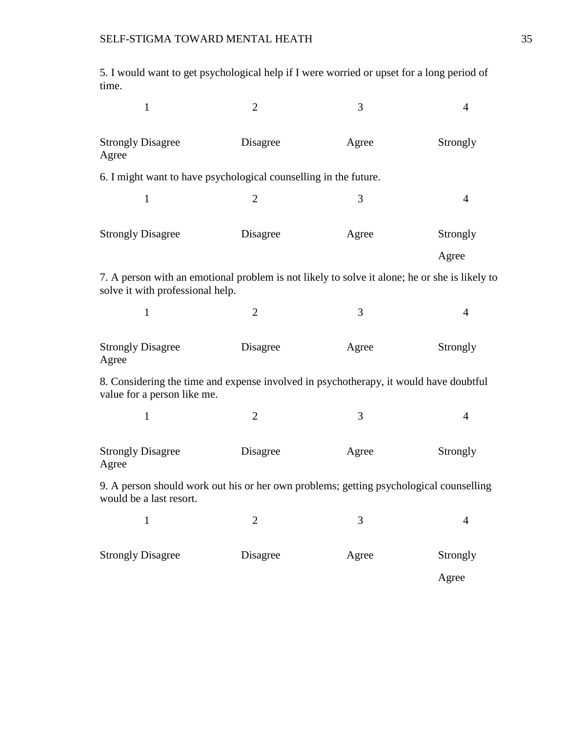5. I would want to get psychological help if I were worried or upset for a long period of time.

| $\mathbf{1}$                                                                                                                      | $\overline{2}$ | 3     | 4              |
|-----------------------------------------------------------------------------------------------------------------------------------|----------------|-------|----------------|
| <b>Strongly Disagree</b><br>Agree                                                                                                 | Disagree       | Agree | Strongly       |
| 6. I might want to have psychological counselling in the future.                                                                  |                |       |                |
| $\mathbf{1}$                                                                                                                      | $\overline{2}$ | 3     | $\overline{4}$ |
| <b>Strongly Disagree</b>                                                                                                          | Disagree       | Agree | Strongly       |
|                                                                                                                                   |                |       | Agree          |
| 7. A person with an emotional problem is not likely to solve it alone; he or she is likely to<br>solve it with professional help. |                |       |                |
| 1                                                                                                                                 | $\overline{2}$ | 3     | $\overline{4}$ |
| <b>Strongly Disagree</b><br>Agree                                                                                                 | Disagree       | Agree | Strongly       |
| 8. Considering the time and expense involved in psychotherapy, it would have doubtful<br>value for a person like me.              |                |       |                |
| $\mathbf{1}$                                                                                                                      | $\overline{2}$ | 3     | $\overline{4}$ |
| <b>Strongly Disagree</b><br>Agree                                                                                                 | Disagree       |       | Strongly       |
| 9. A person should work out his or her own problems; getting psychological counselling<br>would be a last resort.                 |                |       |                |
| $\mathbf{1}$                                                                                                                      | $\overline{2}$ | 3     | $\overline{4}$ |
| <b>Strongly Disagree</b>                                                                                                          | Disagree       | Agree | Strongly       |
|                                                                                                                                   |                |       | Agree          |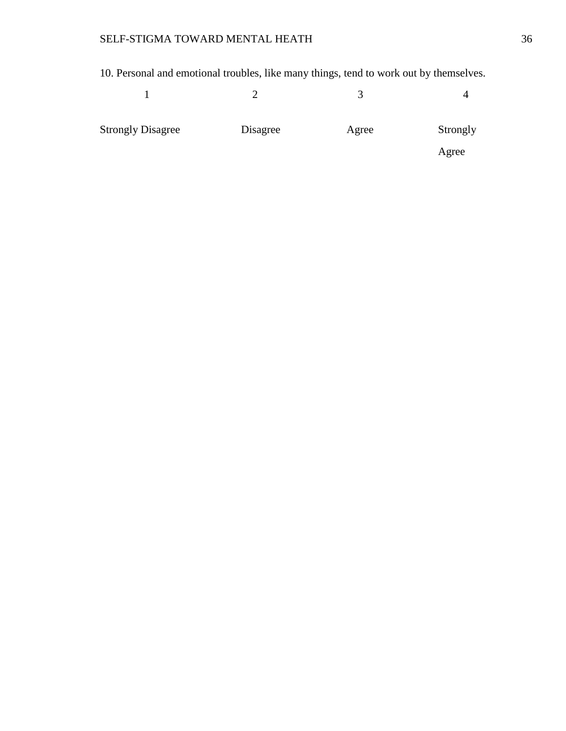10. Personal and emotional troubles, like many things, tend to work out by themselves.

| <b>Strongly Disagree</b> | Disagree | Agree | Strongly |
|--------------------------|----------|-------|----------|
|                          |          |       | Agree    |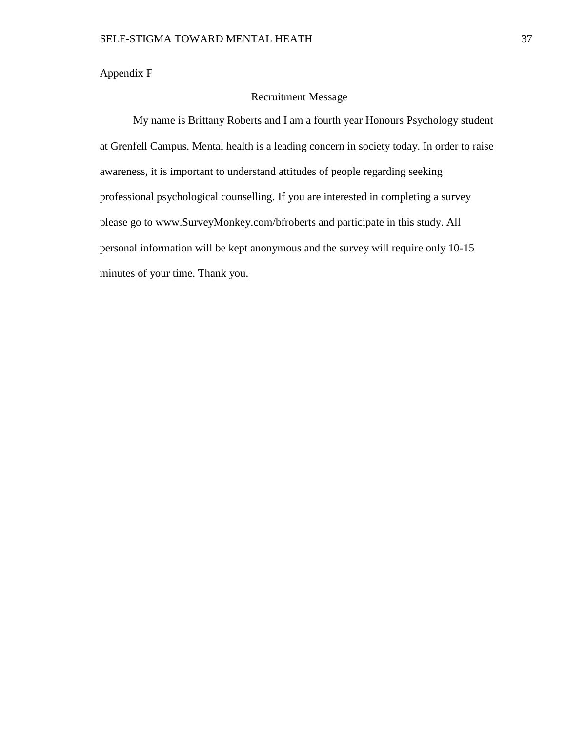Appendix F

### Recruitment Message

My name is Brittany Roberts and I am a fourth year Honours Psychology student at Grenfell Campus. Mental health is a leading concern in society today. In order to raise awareness, it is important to understand attitudes of people regarding seeking professional psychological counselling. If you are interested in completing a survey please go to www.SurveyMonkey.com/bfroberts and participate in this study. All personal information will be kept anonymous and the survey will require only 10-15 minutes of your time. Thank you.